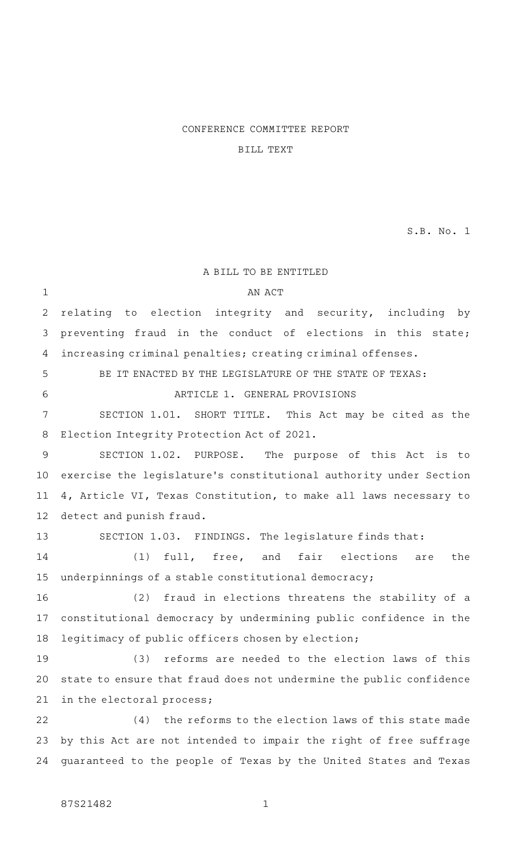## CONFERENCE COMMITTEE REPORT

# BILL TEXT

S.B. No. 1

A BILL TO BE ENTITLED AN ACT relating to election integrity and security, including by preventing fraud in the conduct of elections in this state; increasing criminal penalties; creating criminal offenses. BE IT ENACTED BY THE LEGISLATURE OF THE STATE OF TEXAS: ARTICLE 1. GENERAL PROVISIONS SECTION 1.01. SHORT TITLE. This Act may be cited as the Election Integrity Protection Act of 2021. SECTION 1.02. PURPOSE. The purpose of this Act is to exercise the legislature 's constitutional authority under Section 4, Article VI, Texas Constitution, to make all laws necessary to detect and punish fraud. SECTION 1.03. FINDINGS. The legislature finds that: (1) full, free, and fair elections are the underpinnings of a stable constitutional democracy; (2) fraud in elections threatens the stability of a constitutional democracy by undermining public confidence in the legitimacy of public officers chosen by election; (3) reforms are needed to the election laws of this state to ensure that fraud does not undermine the public confidence in the electoral process;  $(4)$  the reforms to the election laws of this state made by this Act are not intended to impair the right of free suffrage guaranteed to the people of Texas by the United States and Texas 1 2 3 4 5 6 7 8 9 10 11 12 13 14 15 16 17 18 19 20 21 22 23 24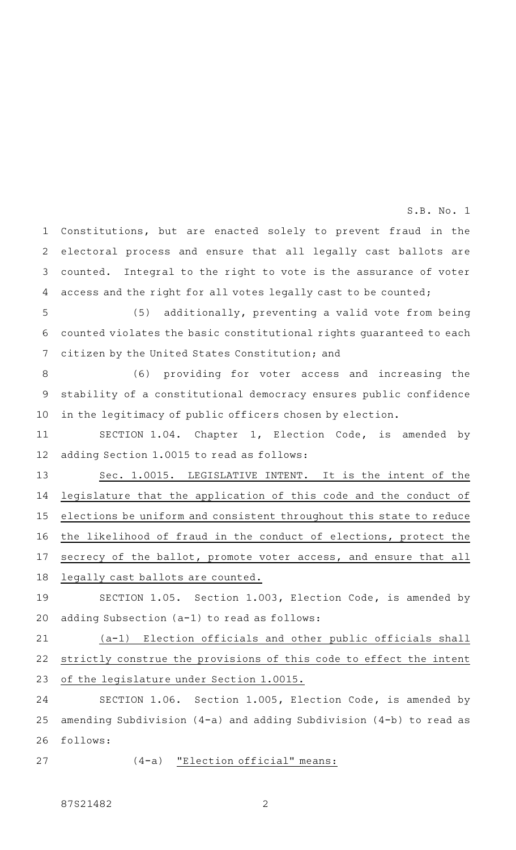Constitutions, but are enacted solely to prevent fraud in the electoral process and ensure that all legally cast ballots are counted. Integral to the right to vote is the assurance of voter access and the right for all votes legally cast to be counted; 1 2 3 4

(5) additionally, preventing a valid vote from being counted violates the basic constitutional rights guaranteed to each citizen by the United States Constitution; and 5 6 7

(6) providing for voter access and increasing the stability of a constitutional democracy ensures public confidence in the legitimacy of public officers chosen by election. 8 9 10

SECTION 1.04. Chapter 1, Election Code, is amended by adding Section 1.0015 to read as follows: 11 12

Sec. 1.0015. LEGISLATIVE INTENT. It is the intent of the legislature that the application of this code and the conduct of elections be uniform and consistent throughout this state to reduce the likelihood of fraud in the conduct of elections, protect the secrecy of the ballot, promote voter access, and ensure that all legally cast ballots are counted. 13 14 15 16 17 18

SECTION 1.05. Section 1.003, Election Code, is amended by adding Subsection (a-1) to read as follows: 19 20

(a-1) Election officials and other public officials shall strictly construe the provisions of this code to effect the intent of the legislature under Section 1.0015. 21 22 23

SECTION 1.06. Section 1.005, Election Code, is amended by amending Subdivision (4-a) and adding Subdivision (4-b) to read as follows: 24 25 26

27

 $(4-a)$  "Election official" means: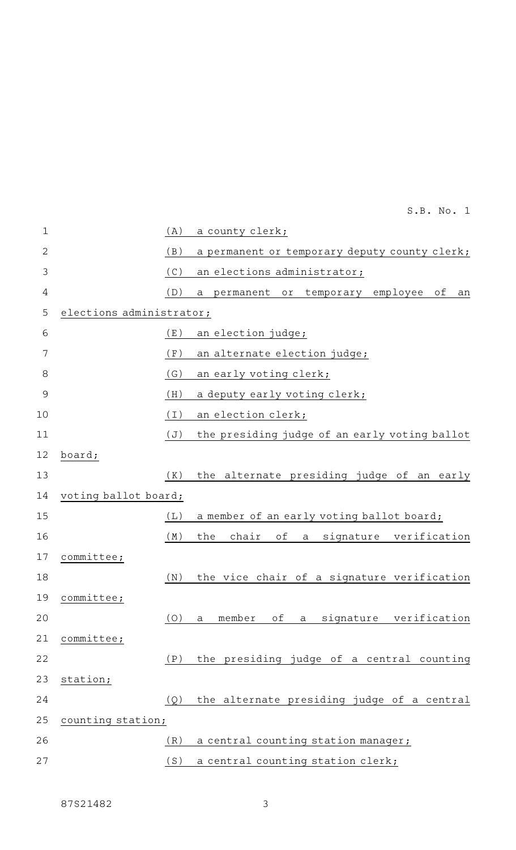| $\mathbf 1$    |                          | (A) | a county clerk;                                           |
|----------------|--------------------------|-----|-----------------------------------------------------------|
| $\overline{2}$ |                          | (B) | a permanent or temporary deputy county clerk;             |
| 3              |                          | (C) | an elections administrator;                               |
| 4              |                          | (D) | permanent<br>temporary<br>employee<br>оf<br>or<br>a<br>an |
| 5              | elections administrator; |     |                                                           |
| 6              |                          | (E) | an election judge;                                        |
| 7              |                          | (F) | an alternate election judge;                              |
| 8              |                          | (G) | an early voting clerk;                                    |
| 9              |                          | (H) | a deputy early voting clerk;                              |
| 10             |                          | (I) | an election clerk;                                        |
| 11             |                          | (J) | the presiding judge of an early voting ballot             |
| 12             | board;                   |     |                                                           |
| 13             |                          | (K) | the alternate presiding judge of an early                 |
| 14             | voting ballot board;     |     |                                                           |
| 15             |                          | (L) | a member of an early voting ballot board;                 |
| 16             |                          | (M) | chair<br>оf<br>signature verification<br>the<br>a         |
| 17             | committee;               |     |                                                           |
| 18             |                          | (N) | the vice chair of a signature verification                |
|                | 19 committee;            |     |                                                           |
| 20             |                          | (O) | of a signature verification<br>member<br>$\mathsf{a}$     |
| 21             | committee;               |     |                                                           |
| 22             |                          | (P) | the presiding judge of a central counting                 |
| 23             | station;                 |     |                                                           |
| 24             |                          | (Q) | the alternate presiding judge of a central                |
| 25             | counting station;        |     |                                                           |
| 26             |                          | (R) | a central counting station manager;                       |
| 27             |                          | (S) | a central counting station clerk;                         |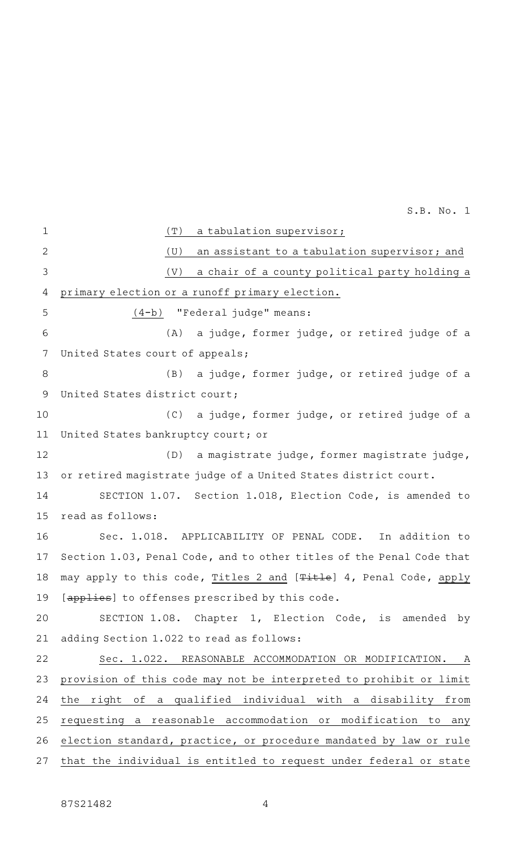(T) a tabulation supervisor;  $(U)$  an assistant to a tabulation supervisor; and  $(V)$  a chair of a county political party holding a primary election or a runoff primary election. (4-b) "Federal judge" means: (A) a judge, former judge, or retired judge of a United States court of appeals; (B) a judge, former judge, or retired judge of a United States district court; (C) a judge, former judge, or retired judge of a United States bankruptcy court; or (D) a magistrate judge, former magistrate judge, or retired magistrate judge of a United States district court. SECTION 1.07. Section 1.018, Election Code, is amended to read as follows: Sec. 1.018. APPLICABILITY OF PENAL CODE. In addition to Section 1.03, Penal Code, and to other titles of the Penal Code that may apply to this code, Titles 2 and [Title] 4, Penal Code, apply [applies] to offenses prescribed by this code. SECTION 1.08. Chapter 1, Election Code, is amended by adding Section 1.022 to read as follows: Sec. 1.022. REASONABLE ACCOMMODATION OR MODIFICATION. A provision of this code may not be interpreted to prohibit or limit the right of a qualified individual with a disability from requesting a reasonable accommodation or modification to any election standard, practice, or procedure mandated by law or rule that the individual is entitled to request under federal or state 1 2 3 4 5 6 7 8 9 10 11 12 13 14 15 16 17 18 19 20 21 22 23 24 25 26 27

87S21482 4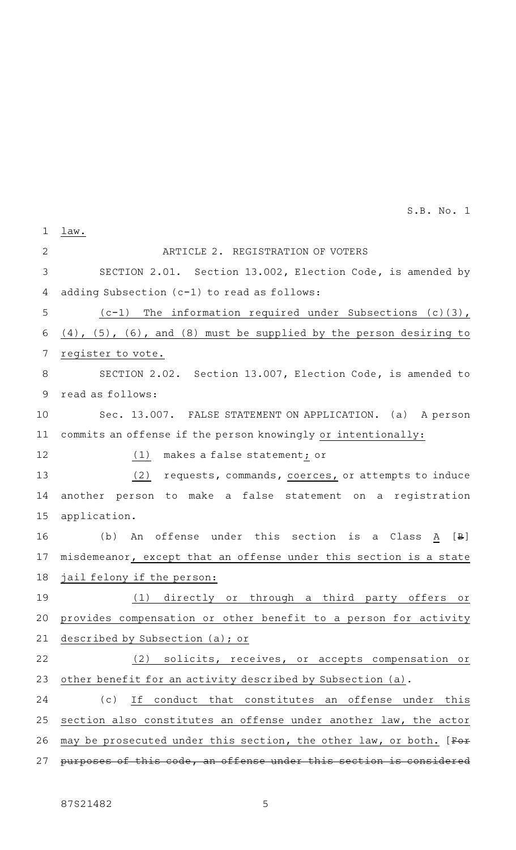| $\mathbf 1$    | law.                                                                         |
|----------------|------------------------------------------------------------------------------|
| $\mathbf{2}$   | ARTICLE 2. REGISTRATION OF VOTERS                                            |
| $\mathfrak{Z}$ | SECTION 2.01. Section 13.002, Election Code, is amended by                   |
| 4              | adding Subsection (c-1) to read as follows:                                  |
| 5              | $(c-1)$ The information required under Subsections (c)(3),                   |
| 6              | $(4)$ , $(5)$ , $(6)$ , and $(8)$ must be supplied by the person desiring to |
| 7              | register to vote.                                                            |
| $\,8\,$        | SECTION 2.02. Section 13.007, Election Code, is amended to                   |
| $\mathsf 9$    | read as follows:                                                             |
| 10             | Sec. 13.007. FALSE STATEMENT ON APPLICATION. (a) A person                    |
| 11             | commits an offense if the person knowingly or intentionally:                 |
| 12             | makes a false statement; or<br>(1)                                           |
| 13             | (2)<br>requests, commands, coerces, or attempts to induce                    |
| 14             | another person to make a false statement on a registration                   |
| 15             | application.                                                                 |
| 16             | (b)<br>offense under this section is a Class A<br>$[\,\mathsf{B}\,]$<br>An   |
| 17             | misdemeanor, except that an offense under this section is a state            |
| 18             | jail felony if the person:                                                   |
| 19             | (1) directly or through a third<br>party offers<br>Оľ                        |
| 20             | provides compensation or other benefit to a person for activity              |
| 21             | described by Subsection (a); or                                              |
| 22             | (2) solicits, receives, or accepts compensation or                           |
| 23             | other benefit for an activity described by Subsection (a).                   |
| 24             | (c)<br>If conduct that constitutes an offense under this                     |
| 25             | section also constitutes an offense under another law, the actor             |
| 26             | may be prosecuted under this section, the other law, or both. [For           |
| 27             | purposes of this code, an offense under this section is considered           |
|                |                                                                              |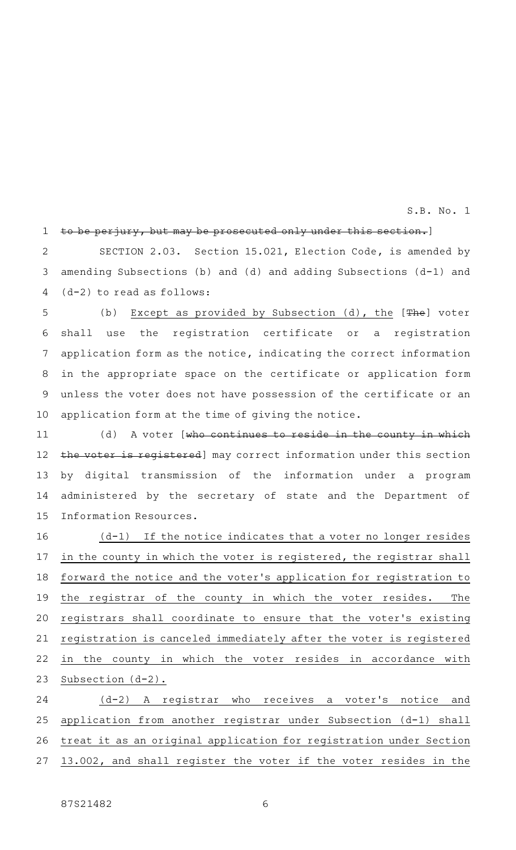#### to be perjury, but may be prosecuted only under this section.] 1

SECTION 2.03. Section 15.021, Election Code, is amended by amending Subsections (b) and (d) and adding Subsections (d-1) and (d-2) to read as follows: 2 3 4

(b) Except as provided by Subsection (d), the [The] voter shall use the registration certificate or a registration application form as the notice, indicating the correct information in the appropriate space on the certificate or application form unless the voter does not have possession of the certificate or an application form at the time of giving the notice. 5 6 7 8 9 10

(d) A voter [who continues to reside in the county in which the voter is registered] may correct information under this section by digital transmission of the information under a program administered by the secretary of state and the Department of Information Resources. 11 12 13 14 15

 $(d-1)$  If the notice indicates that a voter no longer resides in the county in which the voter is registered, the registrar shall forward the notice and the voter 's application for registration to the registrar of the county in which the voter resides. The registrars shall coordinate to ensure that the voter 's existing registration is canceled immediately after the voter is registered in the county in which the voter resides in accordance with Subsection (d-2). 16 17 18 19 20 21 22 23

(d-2) A registrar who receives a voter's notice and application from another registrar under Subsection (d-1) shall treat it as an original application for registration under Section 13.002, and shall register the voter if the voter resides in the 24 25 26 27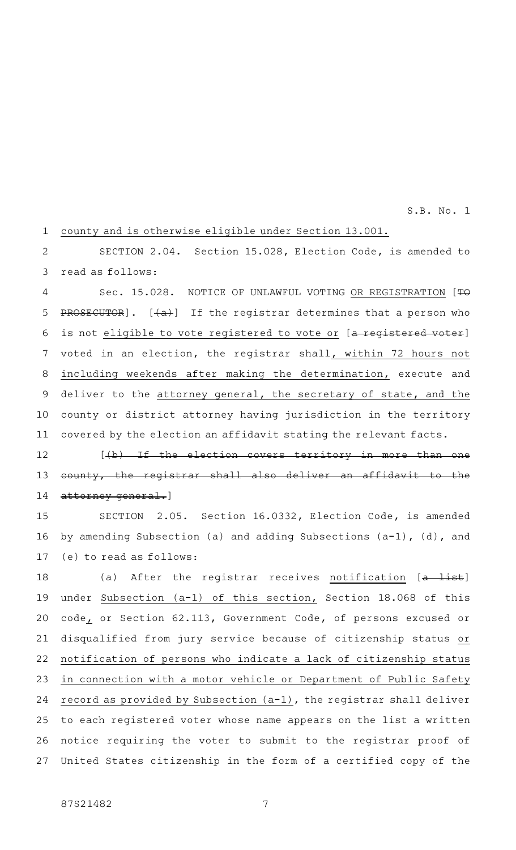county and is otherwise eligible under Section 13.001. 1

SECTION 2.04. Section 15.028, Election Code, is amended to read as follows: 2 3

Sec. 15.028. NOTICE OF UNLAWFUL VOTING OR REGISTRATION [TO PROSECUTOR].  $[+a+1]$  If the registrar determines that a person who is not eligible to vote registered to vote or [a registered voter] voted in an election, the registrar shall, within 72 hours not including weekends after making the determination, execute and deliver to the attorney general, the secretary of state, and the county or district attorney having jurisdiction in the territory covered by the election an affidavit stating the relevant facts. 4 5 6 7 8 9 10 11

 $[\frac{1}{b} + \frac{1}{b}]$  Tf the election covers territory in more than one county, the registrar shall also deliver an affidavit to the attorney general.] 12 13 14

SECTION 2.05. Section 16.0332, Election Code, is amended by amending Subsection (a) and adding Subsections (a-1), (d), and (e) to read as follows: 15 16 17

(a) After the registrar receives notification  $[a - 1]$ ist] under Subsection (a-1) of this section, Section 18.068 of this code, or Section 62.113, Government Code, of persons excused or disqualified from jury service because of citizenship status or notification of persons who indicate a lack of citizenship status in connection with a motor vehicle or Department of Public Safety record as provided by Subsection (a-1), the registrar shall deliver to each registered voter whose name appears on the list a written notice requiring the voter to submit to the registrar proof of United States citizenship in the form of a certified copy of the 18 19 20 21 22 23 24 25 26 27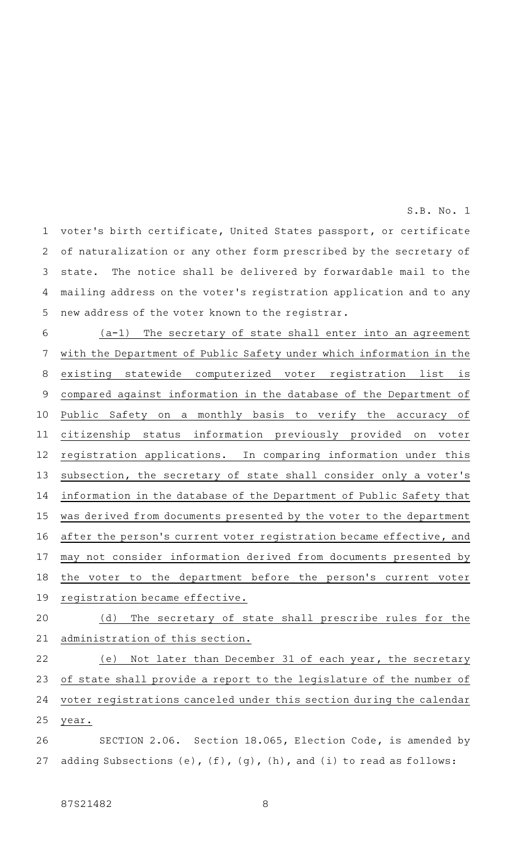voter 's birth certificate, United States passport, or certificate of naturalization or any other form prescribed by the secretary of state. The notice shall be delivered by forwardable mail to the mailing address on the voter 's registration application and to any new address of the voter known to the registrar. 1 2 3 4 5

 $(a-1)$  The secretary of state shall enter into an agreement with the Department of Public Safety under which information in the existing statewide computerized voter registration list is compared against information in the database of the Department of Public Safety on a monthly basis to verify the accuracy of citizenship status information previously provided on voter registration applications. In comparing information under this subsection, the secretary of state shall consider only a voter 's information in the database of the Department of Public Safety that was derived from documents presented by the voter to the department after the person's current voter registration became effective, and may not consider information derived from documents presented by the voter to the department before the person's current voter registration became effective. 6 7 8 9 10 11 12 13 14 15 16 17 18 19

(d) The secretary of state shall prescribe rules for the administration of this section. 20 21

(e) Not later than December 31 of each year, the secretary of state shall provide a report to the legislature of the number of voter registrations canceled under this section during the calendar year. 22 23 24 25

SECTION 2.06. Section 18.065, Election Code, is amended by adding Subsections  $(e)$ ,  $(f)$ ,  $(g)$ ,  $(h)$ , and  $(i)$  to read as follows: 26 27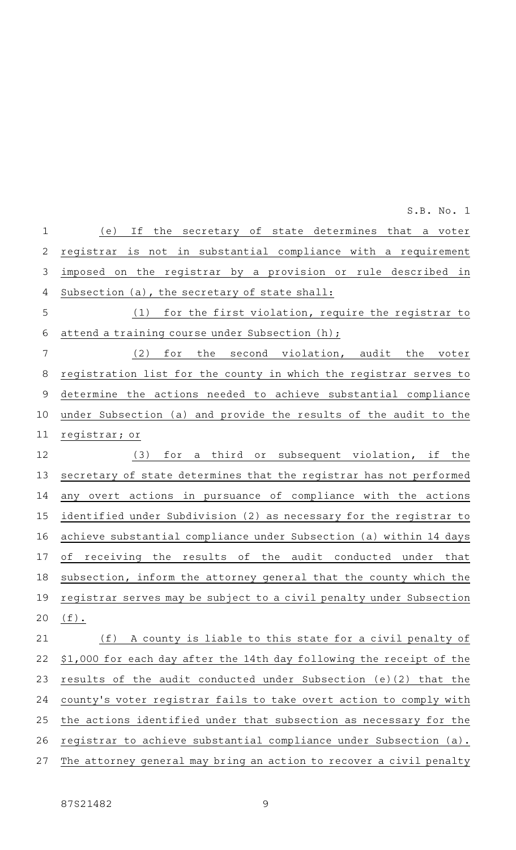| $\mathbf 1$ | (e)<br>If the secretary of state determines that a voter             |
|-------------|----------------------------------------------------------------------|
| 2           | registrar is not in substantial compliance with a requirement        |
| 3           | imposed on the registrar by a provision or rule described in         |
| 4           | Subsection (a), the secretary of state shall:                        |
| 5           | (1) for the first violation, require the registrar to                |
| 6           | attend a training course under Subsection (h);                       |
| 7           | (2) for the second violation, audit the voter                        |
| 8           | registration list for the county in which the registrar serves to    |
| 9           | determine the actions needed to achieve substantial compliance       |
| 10          | under Subsection (a) and provide the results of the audit to the     |
| 11          | registrar; or                                                        |
| 12          | for a third or subsequent violation, if the<br>(3)                   |
| 13          | secretary of state determines that the registrar has not performed   |
| 14          | any overt actions in pursuance of compliance with the actions        |
| 15          | identified under Subdivision (2) as necessary for the registrar to   |
| 16          | achieve substantial compliance under Subsection (a) within 14 days   |
| 17          | receiving the results of the audit conducted under that<br>οf        |
| 18          | subsection, inform the attorney general that the county which the    |
| 19          | registrar serves may be subject to a civil penalty under Subsection  |
| 20          | $(f)$ .                                                              |
| 21          | (f) A county is liable to this state for a civil penalty of          |
| 22          | \$1,000 for each day after the 14th day following the receipt of the |
| 23          | results of the audit conducted under Subsection (e)(2) that the      |
| 24          | county's voter registrar fails to take overt action to comply with   |
| 25          | the actions identified under that subsection as necessary for the    |
| 26          | registrar to achieve substantial compliance under Subsection (a).    |
| 27          | The attorney general may bring an action to recover a civil penalty  |
|             |                                                                      |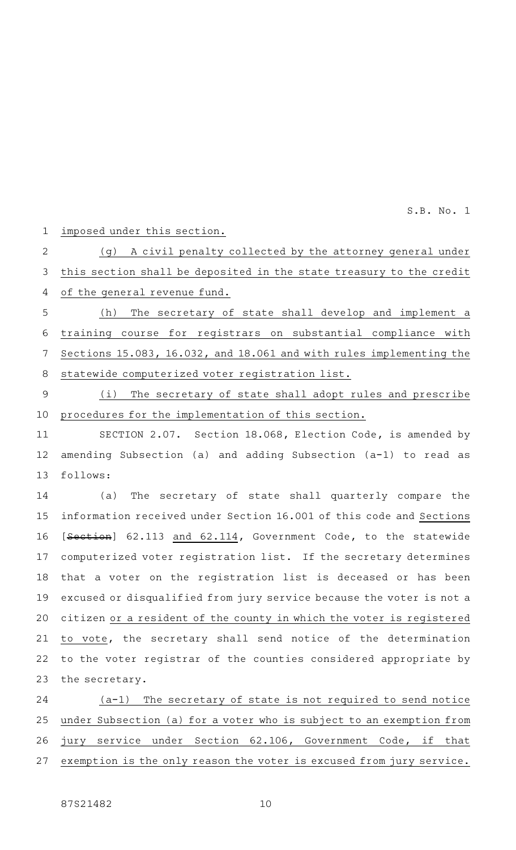imposed under this section. 1

(g) A civil penalty collected by the attorney general under 2

this section shall be deposited in the state treasury to the credit 3

of the general revenue fund. 4

(h) The secretary of state shall develop and implement a training course for registrars on substantial compliance with Sections 15.083, 16.032, and 18.061 and with rules implementing the statewide computerized voter registration list. 5 6 7 8

(i) The secretary of state shall adopt rules and prescribe procedures for the implementation of this section. 9 10

SECTION 2.07. Section 18.068, Election Code, is amended by amending Subsection (a) and adding Subsection (a-1) to read as follows: 11 12 13

(a) The secretary of state shall quarterly compare the information received under Section 16.001 of this code and Sections [Section] 62.113 and 62.114, Government Code, to the statewide computerized voter registration list. If the secretary determines that a voter on the registration list is deceased or has been excused or disqualified from jury service because the voter is not a citizen or a resident of the county in which the voter is registered to vote, the secretary shall send notice of the determination to the voter registrar of the counties considered appropriate by the secretary. 14 15 16 17 18 19 20 21 22 23

 $(a-1)$  The secretary of state is not required to send notice under Subsection (a) for a voter who is subject to an exemption from jury service under Section 62.106, Government Code, if that exemption is the only reason the voter is excused from jury service. 24 25 26 27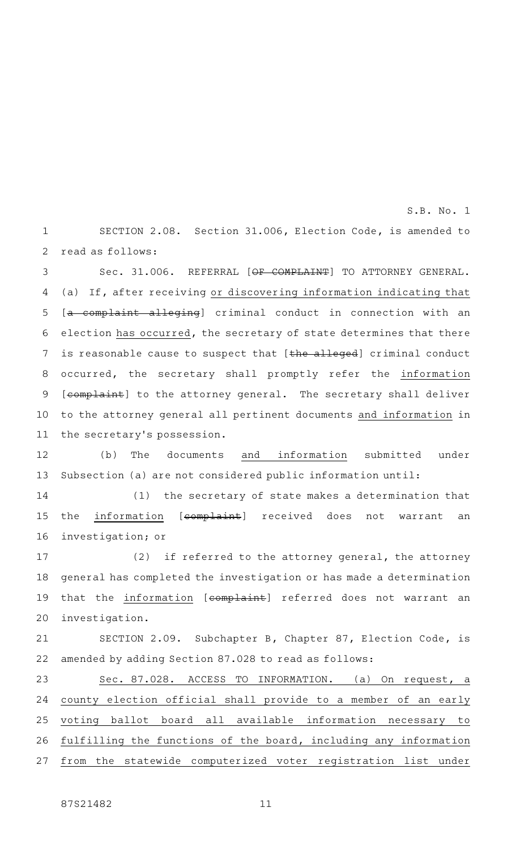SECTION 2.08. Section 31.006, Election Code, is amended to read as follows: 1 2

Sec. 31.006. REFERRAL [OF COMPLAINT] TO ATTORNEY GENERAL. (a) If, after receiving or discovering information indicating that [a complaint alleging] criminal conduct in connection with an election has occurred, the secretary of state determines that there is reasonable cause to suspect that [the alleged] criminal conduct occurred, the secretary shall promptly refer the information [complaint] to the attorney general. The secretary shall deliver to the attorney general all pertinent documents and information in the secretary 's possession. 3 4 5 6 7 8 9 10 11

(b) The documents and information submitted under Subsection (a) are not considered public information until: 12 13

 $(1)$  the secretary of state makes a determination that the information [complaint] received does not warrant an investigation; or 14 15 16

(2) if referred to the attorney general, the attorney general has completed the investigation or has made a determination that the information [complaint] referred does not warrant an investigation. 17 18 19 20

SECTION 2.09. Subchapter B, Chapter 87, Election Code, is amended by adding Section 87.028 to read as follows: 21 22

Sec. 87.028. ACCESS TO INFORMATION. (a) On request, a county election official shall provide to a member of an early voting ballot board all available information necessary to fulfilling the functions of the board, including any information from the statewide computerized voter registration list under 23 24 25 26 27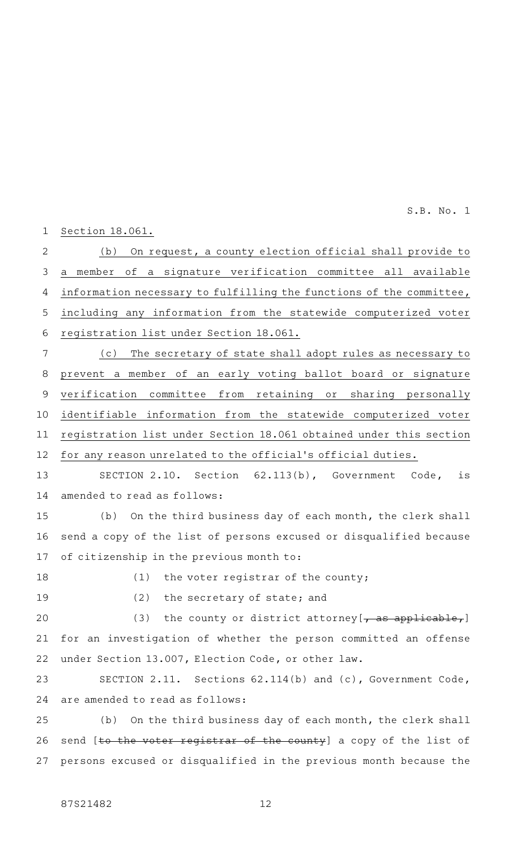Section 18.061. 1

(b) On request, a county election official shall provide to a member of a signature verification committee all available information necessary to fulfilling the functions of the committee, including any information from the statewide computerized voter registration list under Section 18.061. 2 3 4 5 6

(c) The secretary of state shall adopt rules as necessary to prevent a member of an early voting ballot board or signature verification committee from retaining or sharing personally identifiable information from the statewide computerized voter registration list under Section 18.061 obtained under this section for any reason unrelated to the official 's official duties. 7 8 9 10 11 12

SECTION 2.10. Section 62.113(b), Government Code, is amended to read as follows: 13 14

(b) On the third business day of each month, the clerk shall send a copy of the list of persons excused or disqualified because of citizenship in the previous month to: 15 16 17

18

 $(1)$  the voter registrar of the county;

19

 $(2)$  the secretary of state; and

(3) the county or district attorney  $[-\text{as applicable},]$ for an investigation of whether the person committed an offense under Section 13.007, Election Code, or other law. 20 21 22

SECTION 2.11. Sections 62.114(b) and (c), Government Code, are amended to read as follows: 23 24

(b) On the third business day of each month, the clerk shall send [to the voter registrar of the county] a copy of the list of persons excused or disqualified in the previous month because the 25 26 27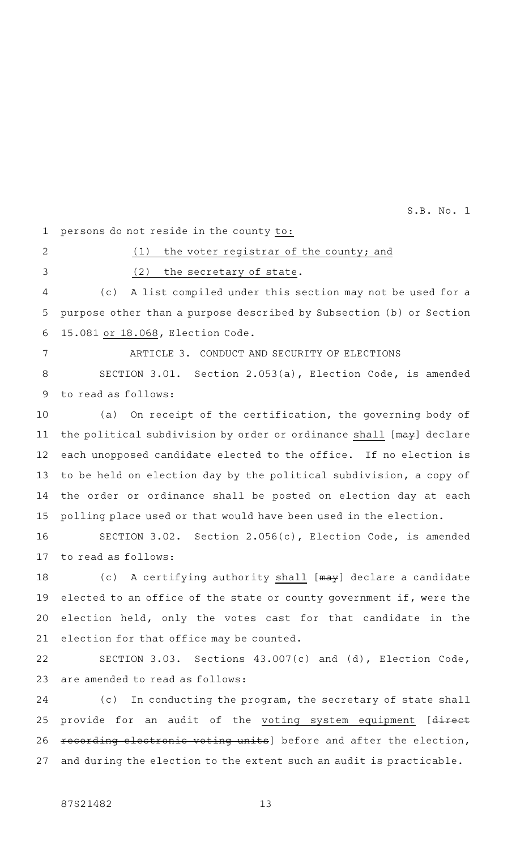persons do not reside in the county to: 1

2

3

# (2) the secretary of state.

(c) A list compiled under this section may not be used for a purpose other than a purpose described by Subsection (b) or Section 15.081 or 18.068, Election Code. 4 5 6

 $(1)$  the voter registrar of the county; and

7

# ARTICLE 3. CONDUCT AND SECURITY OF ELECTIONS

SECTION 3.01. Section 2.053(a), Election Code, is amended to read as follows: 8 9

(a) On receipt of the certification, the governing body of the political subdivision by order or ordinance shall [may] declare each unopposed candidate elected to the office. If no election is to be held on election day by the political subdivision, a copy of the order or ordinance shall be posted on election day at each polling place used or that would have been used in the election. 10 11 12 13 14 15

SECTION 3.02. Section 2.056(c), Election Code, is amended to read as follows: 16 17

(c) A certifying authority shall [may] declare a candidate elected to an office of the state or county government if, were the election held, only the votes cast for that candidate in the election for that office may be counted. 18 19 20 21

SECTION 3.03. Sections 43.007(c) and (d), Election Code, are amended to read as follows: 22 23

(c) In conducting the program, the secretary of state shall provide for an audit of the voting system equipment [direct recording electronic voting units] before and after the election, and during the election to the extent such an audit is practicable. 24 25 26 27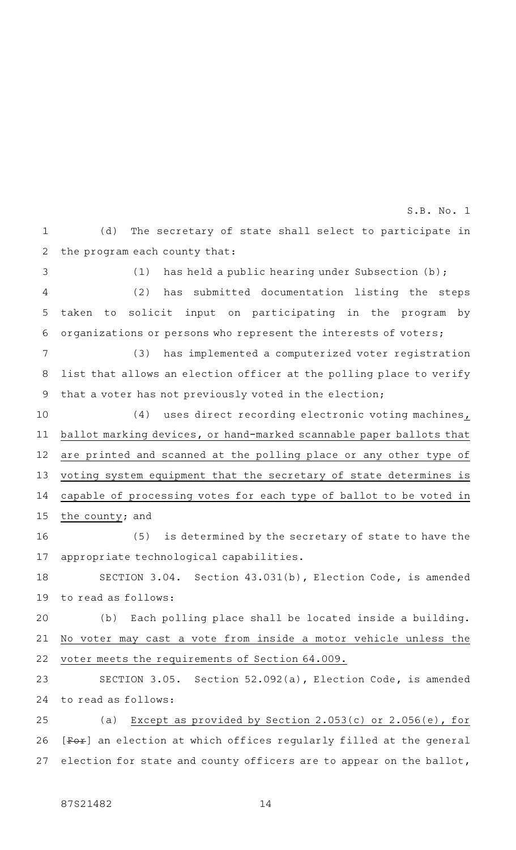(d) The secretary of state shall select to participate in the program each county that: 1 2 S.B. No. 1

(1) has held a public hearing under Subsection  $(b)$ ; (2) has submitted documentation listing the steps taken to solicit input on participating in the program by organizations or persons who represent the interests of voters; 3 4 5 6

(3) has implemented a computerized voter registration list that allows an election officer at the polling place to verify that a voter has not previously voted in the election; 7 8 9

(4) uses direct recording electronic voting machines, ballot marking devices, or hand-marked scannable paper ballots that are printed and scanned at the polling place or any other type of voting system equipment that the secretary of state determines is capable of processing votes for each type of ballot to be voted in the county; and 10 11 12 13 14 15

(5) is determined by the secretary of state to have the appropriate technological capabilities. 16 17

SECTION 3.04. Section 43.031(b), Election Code, is amended to read as follows: 18 19

(b) Each polling place shall be located inside a building. No voter may cast a vote from inside a motor vehicle unless the voter meets the requirements of Section 64.009. 20 21 22

SECTION 3.05. Section 52.092(a), Election Code, is amended to read as follows: 23 24

(a) Except as provided by Section 2.053(c) or  $2.056(e)$ , for [Fox] an election at which offices regularly filled at the general election for state and county officers are to appear on the ballot, 25 26 27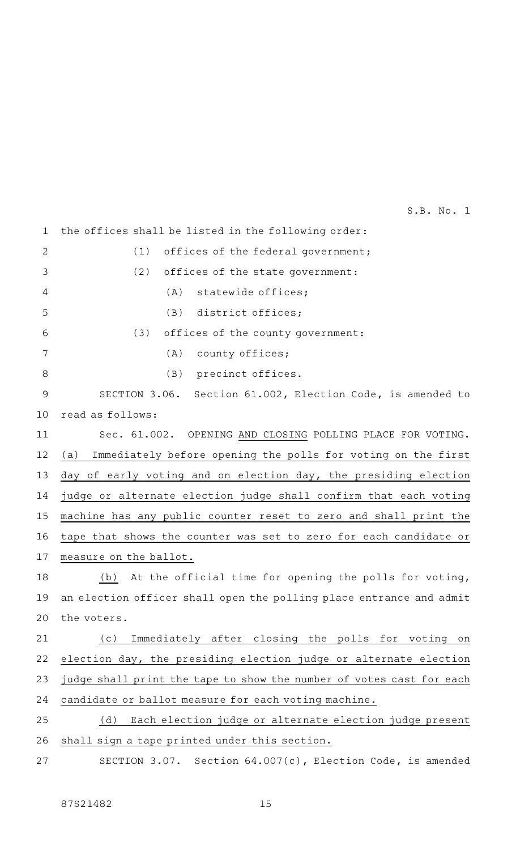the offices shall be listed in the following order:  $(1)$  offices of the federal government;  $(2)$  offices of the state government:  $(A)$  statewide offices;  $(B)$  district offices; (3) offices of the county government:  $(A)$  county offices; (B) precinct offices. SECTION 3.06. Section 61.002, Election Code, is amended to read as follows: Sec. 61.002. OPENING AND CLOSING POLLING PLACE FOR VOTING. (a) Immediately before opening the polls for voting on the first day of early voting and on election day, the presiding election judge or alternate election judge shall confirm that each voting machine has any public counter reset to zero and shall print the tape that shows the counter was set to zero for each candidate or measure on the ballot. (b) At the official time for opening the polls for voting, an election officer shall open the polling place entrance and admit the voters. (c) Immediately after closing the polls for voting on election day, the presiding election judge or alternate election judge shall print the tape to show the number of votes cast for each candidate or ballot measure for each voting machine. (d) Each election judge or alternate election judge present shall sign a tape printed under this section. SECTION 3.07. Section 64.007(c), Election Code, is amended 1 2 3 4 5 6 7 8 9 10 11 12 13 14 15 16 17 18 19 20 21 22 23 24 25 26 27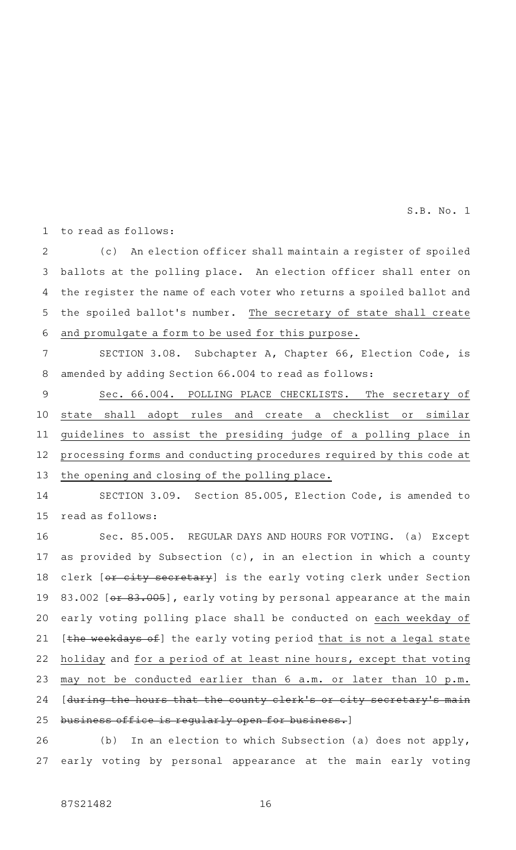to read as follows: 1

(c) An election officer shall maintain a register of spoiled ballots at the polling place. An election officer shall enter on the register the name of each voter who returns a spoiled ballot and the spoiled ballot's number. The secretary of state shall create and promulgate a form to be used for this purpose. 2 3 4 5 6

SECTION 3.08. Subchapter A, Chapter 66, Election Code, is amended by adding Section 66.004 to read as follows: 7 8

Sec. 66.004. POLLING PLACE CHECKLISTS. The secretary of state shall adopt rules and create a checklist or similar guidelines to assist the presiding judge of a polling place in processing forms and conducting procedures required by this code at the opening and closing of the polling place. 9 10 11 12 13

SECTION 3.09. Section 85.005, Election Code, is amended to read as follows: 14 15

Sec. 85.005. REGULAR DAYS AND HOURS FOR VOTING. (a) Except as provided by Subsection (c), in an election in which a county clerk [or city secretary] is the early voting clerk under Section 83.002 [ $\leftrightarrow$  83.005], early voting by personal appearance at the main early voting polling place shall be conducted on each weekday of [the weekdays of] the early voting period that is not a legal state holiday and for a period of at least nine hours, except that voting may not be conducted earlier than 6 a.m. or later than 10 p.m. [during the hours that the county clerk's or city secretary's main business office is regularly open for business.] 16 17 18 19 20 21 22 23 24 25

(b) In an election to which Subsection (a) does not apply, early voting by personal appearance at the main early voting 26 27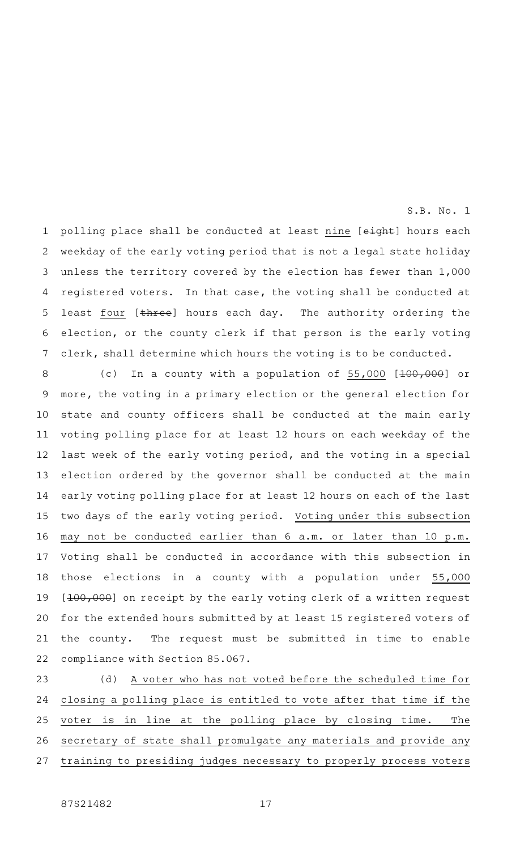polling place shall be conducted at least nine [eight] hours each weekday of the early voting period that is not a legal state holiday unless the territory covered by the election has fewer than 1,000 registered voters. In that case, the voting shall be conducted at least four [three] hours each day. The authority ordering the election, or the county clerk if that person is the early voting clerk, shall determine which hours the voting is to be conducted. 1 2 3 4 5 6 7

S.B. No. 1

(c) In a county with a population of  $55,000$   $[100,000]$  or more, the voting in a primary election or the general election for state and county officers shall be conducted at the main early voting polling place for at least 12 hours on each weekday of the last week of the early voting period, and the voting in a special election ordered by the governor shall be conducted at the main early voting polling place for at least 12 hours on each of the last two days of the early voting period. Voting under this subsection may not be conducted earlier than 6 a.m. or later than 10 p.m. Voting shall be conducted in accordance with this subsection in those elections in a county with a population under 55,000 [100,000] on receipt by the early voting clerk of a written request for the extended hours submitted by at least 15 registered voters of the county. The request must be submitted in time to enable compliance with Section 85.067. 8 9 10 11 12 13 14 15 16 17 18 19 20 21 22

(d) A voter who has not voted before the scheduled time for closing a polling place is entitled to vote after that time if the voter is in line at the polling place by closing time. The secretary of state shall promulgate any materials and provide any training to presiding judges necessary to properly process voters 23 24 25 26 27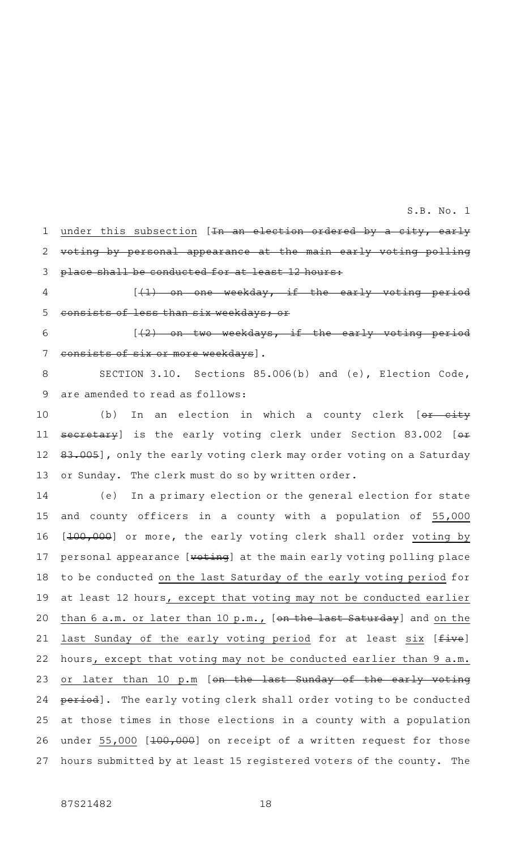under this subsection [In an election ordered by a city, early voting by personal appearance at the main early voting polling place shall be conducted for at least 12 hours: 1 2 3

 $[$   $(1)$  on one weekday, if the early consists of less than six weekdays; or 4 5

 $[$   $(2)$  on two weekdays, if the early nsists of six or more weekdays]. 6 7

SECTION 3.10. Sections 85.006(b) and (e), Election Code, are amended to read as follows: 8 9

(b) In an election in which a county clerk  $[o \cdot r - c \cdot i \cdot t \cdot y]$ secretary] is the early voting clerk under Section 83.002 [or 83.005], only the early voting clerk may order voting on a Saturday or Sunday. The clerk must do so by written order. 10 11 12 13

(e) In a primary election or the general election for state and county officers in a county with a population of 55,000 [100,000] or more, the early voting clerk shall order voting by personal appearance [voting] at the main early voting polling place to be conducted on the last Saturday of the early voting period for at least 12 hours, except that voting may not be conducted earlier than 6 a.m. or later than 10 p.m., [on the last Saturday] and on the last Sunday of the early voting period for at least six [five] hours, except that voting may not be conducted earlier than 9 a.m. or later than 10 p.m [on the last Sunday of the early voting period]. The early voting clerk shall order voting to be conducted at those times in those elections in a county with a population under 55,000 [100,000] on receipt of a written request for those hours submitted by at least 15 registered voters of the county. The 14 15 16 17 18 19 20 21 22 23 24 25 26 27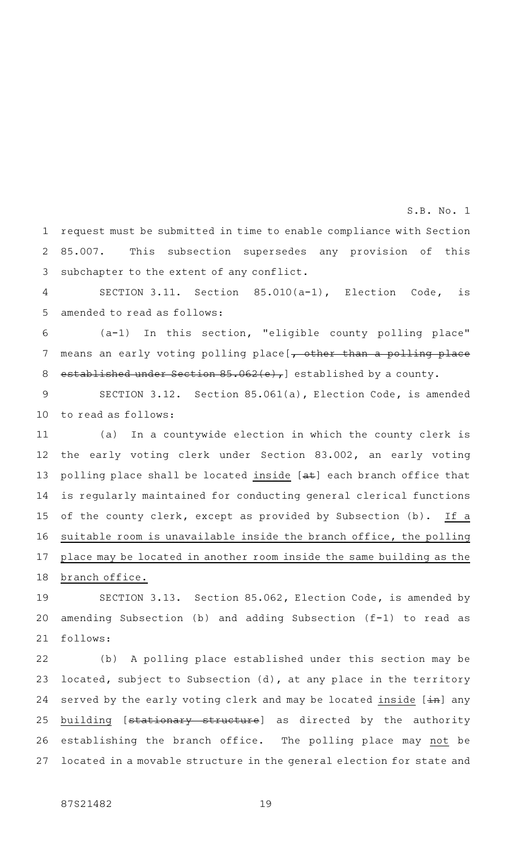request must be submitted in time to enable compliance with Section 85.007. This subsection supersedes any provision of this subchapter to the extent of any conflict. 1 2 3

S.B. No. 1

SECTION 3.11. Section  $85.010(a-1)$ , Election Code, is amended to read as follows: 4 5

(a-1) In this section, "eligible county polling place" means an early voting polling place [, other than a polling place established under Section 85.062(e), established by a county. 6 7 8

SECTION 3.12. Section 85.061(a), Election Code, is amended to read as follows: 9 10

(a) In a countywide election in which the county clerk is the early voting clerk under Section 83.002, an early voting polling place shall be located inside [at] each branch office that is regularly maintained for conducting general clerical functions of the county clerk, except as provided by Subsection (b). If a suitable room is unavailable inside the branch office, the polling place may be located in another room inside the same building as the 11 12 13 14 15 16 17

SECTION 3.13. Section 85.062, Election Code, is amended by amending Subsection (b) and adding Subsection (f-1) to read as follows: 19 20 21

(b) A polling place established under this section may be located, subject to Subsection (d), at any place in the territory served by the early voting clerk and may be located inside  $[\frac{1}{n}]$  any building [stationary structure] as directed by the authority establishing the branch office. The polling place may not be located in a movable structure in the general election for state and 22 23 24 25 26 27

branch office.

18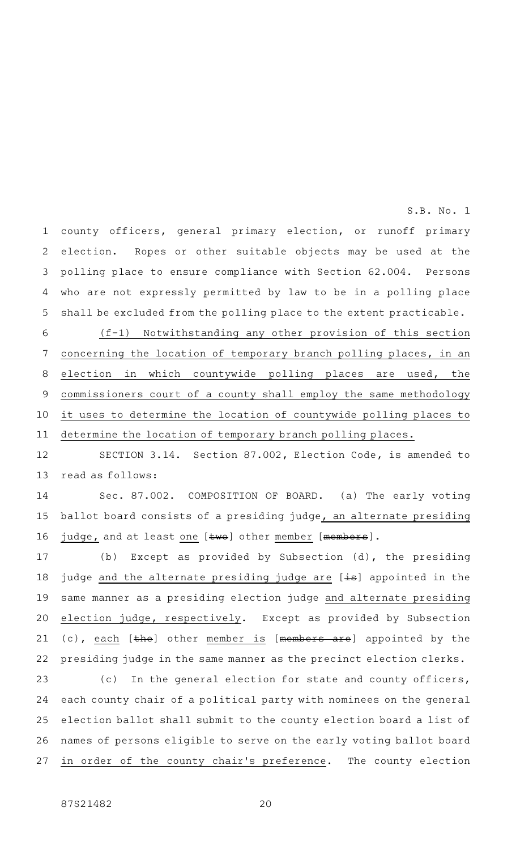county officers, general primary election, or runoff primary election. Ropes or other suitable objects may be used at the polling place to ensure compliance with Section 62.004. Persons who are not expressly permitted by law to be in a polling place shall be excluded from the polling place to the extent practicable. 1 2 3 4 5

S.B. No. 1

(f-1) Notwithstanding any other provision of this section concerning the location of temporary branch polling places, in an election in which countywide polling places are used, the commissioners court of a county shall employ the same methodology it uses to determine the location of countywide polling places to determine the location of temporary branch polling places. 6 7 8 9 10 11

SECTION 3.14. Section 87.002, Election Code, is amended to read as follows: 12 13

Sec. 87.002. COMPOSITION OF BOARD. (a) The early voting ballot board consists of a presiding judge, an alternate presiding judge, and at least one [two] other member [members]. 14 15 16

(b) Except as provided by Subsection (d), the presiding judge and the alternate presiding judge are [is] appointed in the same manner as a presiding election judge and alternate presiding election judge, respectively. Except as provided by Subsection (c), each [the] other member is [members are] appointed by the presiding judge in the same manner as the precinct election clerks. 17 18 19 20 21 22

(c) In the general election for state and county officers, each county chair of a political party with nominees on the general election ballot shall submit to the county election board a list of names of persons eligible to serve on the early voting ballot board in order of the county chair's preference. The county election 23 24 25 26 27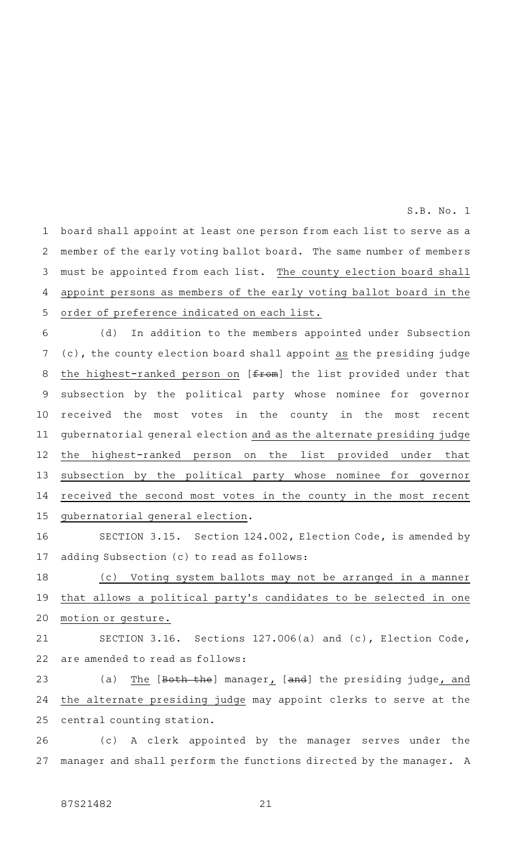board shall appoint at least one person from each list to serve as a member of the early voting ballot board. The same number of members must be appointed from each list. The county election board shall appoint persons as members of the early voting ballot board in the order of preference indicated on each list. 1 2 3 4 5

(d) In addition to the members appointed under Subsection (c), the county election board shall appoint as the presiding judge the highest-ranked person on [from] the list provided under that subsection by the political party whose nominee for governor received the most votes in the county in the most recent gubernatorial general election and as the alternate presiding judge the highest-ranked person on the list provided under that subsection by the political party whose nominee for governor received the second most votes in the county in the most recent gubernatorial general election. 6 7 8 9 10 11 12 13 14 15

SECTION 3.15. Section 124.002, Election Code, is amended by adding Subsection (c) to read as follows: 16 17

(c) Voting system ballots may not be arranged in a manner that allows a political party 's candidates to be selected in one motion or gesture. 18 19 20

SECTION 3.16. Sections 127.006(a) and (c), Election Code, are amended to read as follows: 21 22

(a) The [Both the] manager, [and] the presiding judge, and the alternate presiding judge may appoint clerks to serve at the central counting station. 23 24 25

(c)AAA clerk appointed by the manager serves under the manager and shall perform the functions directed by the manager. A 26 27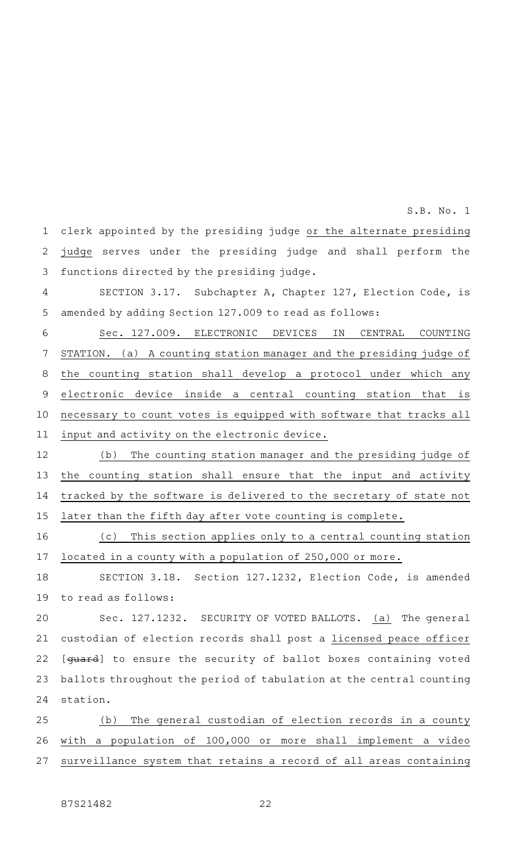clerk appointed by the presiding judge or the alternate presiding judge serves under the presiding judge and shall perform the functions directed by the presiding judge. 1 2 3

S.B. No. 1

SECTION 3.17. Subchapter A, Chapter 127, Election Code, is amended by adding Section 127.009 to read as follows: 4 5

Sec. 127.009. ELECTRONIC DEVICES IN CENTRAL COUNTING STATION. (a) A counting station manager and the presiding judge of the counting station shall develop a protocol under which any electronic device inside a central counting station that is necessary to count votes is equipped with software that tracks all input and activity on the electronic device. 6 7 8 9 10 11

(b) The counting station manager and the presiding judge of the counting station shall ensure that the input and activity tracked by the software is delivered to the secretary of state not later than the fifth day after vote counting is complete. 12 13 14 15

(c) This section applies only to a central counting station located in a county with a population of 250,000 or more. 16 17

SECTION 3.18. Section 127.1232, Election Code, is amended to read as follows: 18 19

Sec. 127.1232. SECURITY OF VOTED BALLOTS. (a) The general custodian of election records shall post a licensed peace officer [guard] to ensure the security of ballot boxes containing voted ballots throughout the period of tabulation at the central counting station. 20 21 22 23 24

(b) The general custodian of election records in a county with a population of 100,000 or more shall implement a video surveillance system that retains a record of all areas containing 25 26 27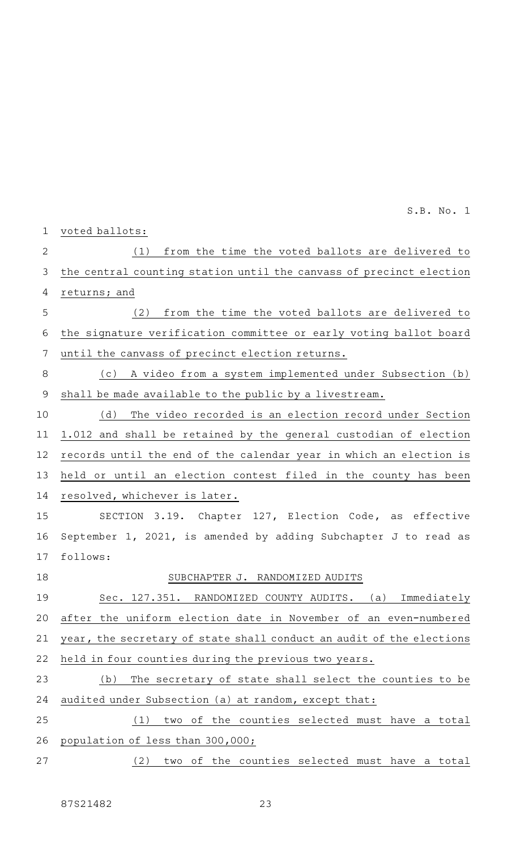| $\mathbf 1$    | voted ballots:                                                       |
|----------------|----------------------------------------------------------------------|
| $\overline{2}$ | from the time the voted ballots are delivered to<br>(1)              |
| 3              | the central counting station until the canvass of precinct election  |
| 4              | returns; and                                                         |
| 5              | from the time the voted ballots are delivered to<br>(2)              |
| 6              | the signature verification committee or early voting ballot board    |
| 7              | until the canvass of precinct election returns.                      |
| 8              | A video from a system implemented under Subsection (b)<br>(c)        |
| $\mathsf 9$    | shall be made available to the public by a livestream.               |
| 10             | (d)<br>The video recorded is an election record under Section        |
| 11             | 1.012 and shall be retained by the general custodian of election     |
| 12             | records until the end of the calendar year in which an election is   |
| 13             | held or until an election contest filed in the county has been       |
| 14             | resolved, whichever is later.                                        |
| 15             | SECTION 3.19. Chapter 127, Election Code, as effective               |
| 16             | September 1, 2021, is amended by adding Subchapter J to read as      |
| 17             | follows:                                                             |
| 18             | SUBCHAPTER J. RANDOMIZED AUDITS                                      |
| 19             | Sec. 127.351. RANDOMIZED COUNTY AUDITS. (a) Immediately              |
| 20             | after the uniform election date in November of an even-numbered      |
| 21             | year, the secretary of state shall conduct an audit of the elections |
| 22             | held in four counties during the previous two years.                 |
| 23             | The secretary of state shall select the counties to be<br>(b)        |
| 24             | audited under Subsection (a) at random, except that:                 |
| 25             | two of the counties selected must have a total<br>(1)                |
| 26             | population of less than 300,000;                                     |
| 27             | two of the counties selected must have a total<br>(2)                |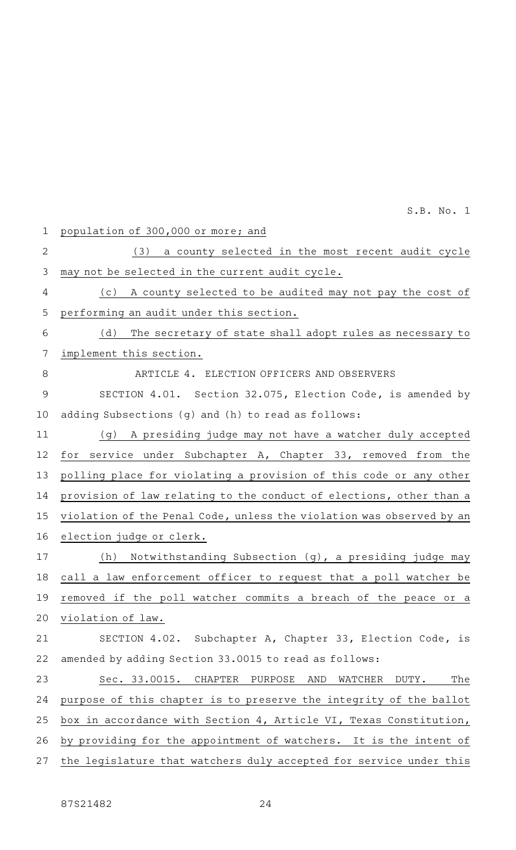population of 300,000 or more; and (3) a county selected in the most recent audit cycle may not be selected in the current audit cycle. (c) A county selected to be audited may not pay the cost of performing an audit under this section. (d) The secretary of state shall adopt rules as necessary to implement this section. ARTICLE 4. ELECTION OFFICERS AND OBSERVERS SECTION 4.01. Section 32.075, Election Code, is amended by adding Subsections (g) and (h) to read as follows: (g) A presiding judge may not have a watcher duly accepted for service under Subchapter A, Chapter 33, removed from the polling place for violating a provision of this code or any other provision of law relating to the conduct of elections, other than a violation of the Penal Code, unless the violation was observed by an election judge or clerk. (h) Notwithstanding Subsection (g), a presiding judge may call a law enforcement officer to request that a poll watcher be removed if the poll watcher commits a breach of the peace or a violation of law. SECTION 4.02. Subchapter A, Chapter 33, Election Code, is amended by adding Section 33.0015 to read as follows: Sec. 33.0015. CHAPTER PURPOSE AND WATCHER DUTY. The purpose of this chapter is to preserve the integrity of the ballot box in accordance with Section 4, Article VI, Texas Constitution, by providing for the appointment of watchers. It is the intent of the legislature that watchers duly accepted for service under this 1 2 3 4 5 6 7 8 9 10 11 12 13 14 15 16 17 18 19 20 21 22 23 24 25 26 27

S.B. No. 1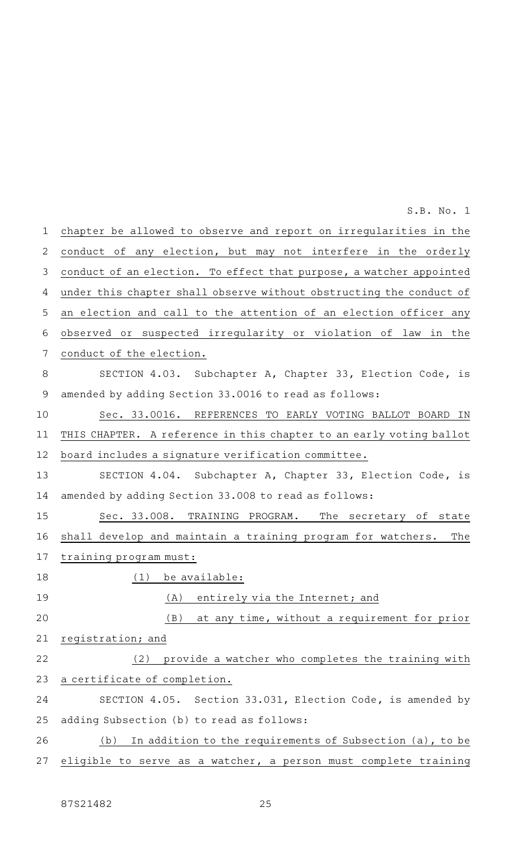chapter be allowed to observe and report on irregularities in the conduct of any election, but may not interfere in the orderly conduct of an election. To effect that purpose, a watcher appointed under this chapter shall observe without obstructing the conduct of an election and call to the attention of an election officer any observed or suspected irregularity or violation of law in the conduct of the election. SECTION 4.03. Subchapter A, Chapter 33, Election Code, is amended by adding Section 33.0016 to read as follows: Sec. 33.0016. REFERENCES TO EARLY VOTING BALLOT BOARD IN THIS CHAPTER. A reference in this chapter to an early voting ballot board includes a signature verification committee. SECTION 4.04. Subchapter A, Chapter 33, Election Code, is amended by adding Section 33.008 to read as follows: Sec. 33.008. TRAINING PROGRAM. The secretary of state shall develop and maintain a training program for watchers. The training program must:  $(1)$  be available: (A) entirely via the Internet; and (B) at any time, without a requirement for prior registration; and (2) provide a watcher who completes the training with a certificate of completion. SECTION 4.05. Section 33.031, Election Code, is amended by adding Subsection (b) to read as follows: (b) In addition to the requirements of Subsection  $(a)$ , to be eligible to serve as a watcher, a person must complete training 1 2 3 4 5 6 7 8 9 10 11 12 13 14 15 16 17 18 19 20 21 22 23 24 25 26 27 S.B. No. 1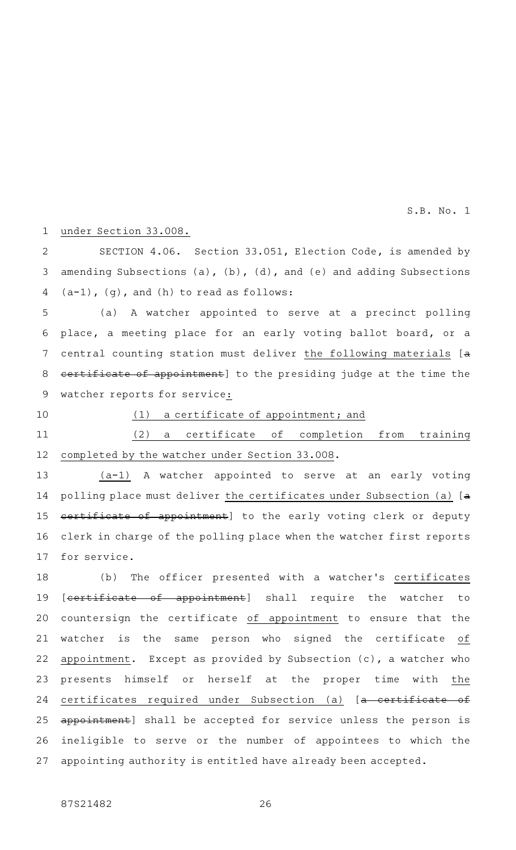#### under Section 33.008. 1

SECTION 4.06. Section 33.051, Election Code, is amended by amending Subsections (a), (b), (d), and (e) and adding Subsections (a-1), (g), and (h) to read as follows: 2 3 4

(a)AAA watcher appointed to serve at a precinct polling place, a meeting place for an early voting ballot board, or a central counting station must deliver the following materials [a certificate of appointment] to the presiding judge at the time the watcher reports for service: 5 6 7 8 9

10

# $(1)$  a certificate of appointment; and

(2) a certificate of completion from training completed by the watcher under Section 33.008. 11 12

 $(a-1)$  A watcher appointed to serve at an early voting polling place must deliver the certificates under Subsection (a) [a certificate of appointment] to the early voting clerk or deputy clerk in charge of the polling place when the watcher first reports for service. 13 14 15 16 17

(b) The officer presented with a watcher's certificates [certificate of appointment] shall require the watcher to countersign the certificate of appointment to ensure that the watcher is the same person who signed the certificate of appointment. Except as provided by Subsection (c), a watcher who presents himself or herself at the proper time with the certificates required under Subsection (a) [a certificate of appointment] shall be accepted for service unless the person is ineligible to serve or the number of appointees to which the appointing authority is entitled have already been accepted. 18 19 20 21 22 23 24 25 26 27

87S21482 26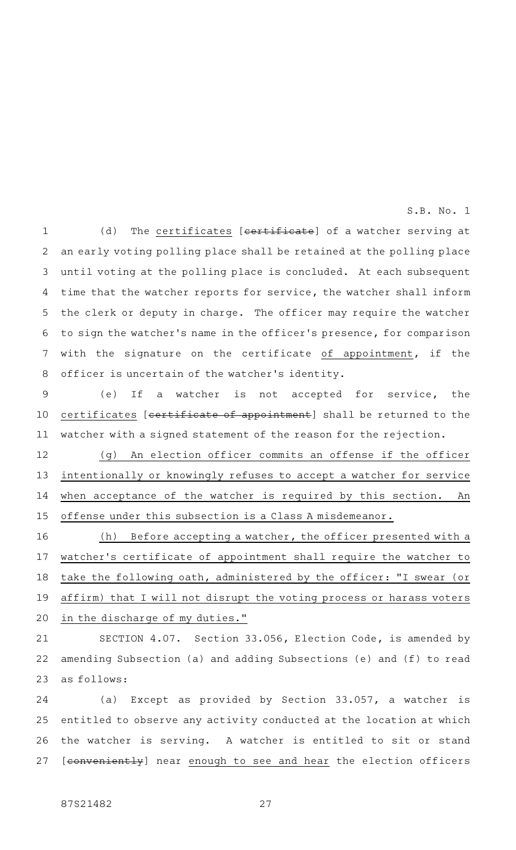(d) The certificates [certificate] of a watcher serving at an early voting polling place shall be retained at the polling place until voting at the polling place is concluded. At each subsequent time that the watcher reports for service, the watcher shall inform the clerk or deputy in charge. The officer may require the watcher to sign the watcher 's name in the officer 's presence, for comparison with the signature on the certificate of appointment, if the officer is uncertain of the watcher 's identity. 1 2 3 4 5 6 7 8

(e) If a watcher is not accepted for service, the certificates [certificate of appointment] shall be returned to the watcher with a signed statement of the reason for the rejection. 9 10 11

(g) An election officer commits an offense if the officer intentionally or knowingly refuses to accept a watcher for service when acceptance of the watcher is required by this section. An offense under this subsection is a Class A misdemeanor. 12 13 14 15

 $(h)$  Before accepting a watcher, the officer presented with a watcher 's certificate of appointment shall require the watcher to take the following oath, administered by the officer: "I swear (or affirm) that I will not disrupt the voting process or harass voters in the discharge of my duties." 16 17 18 19 20

SECTION 4.07. Section 33.056, Election Code, is amended by amending Subsection (a) and adding Subsections (e) and (f) to read as follows: 21 22 23

(a) Except as provided by Section 33.057, a watcher is entitled to observe any activity conducted at the location at which the watcher is serving. A watcher is entitled to sit or stand [conveniently] near enough to see and hear the election officers 24 25 26 27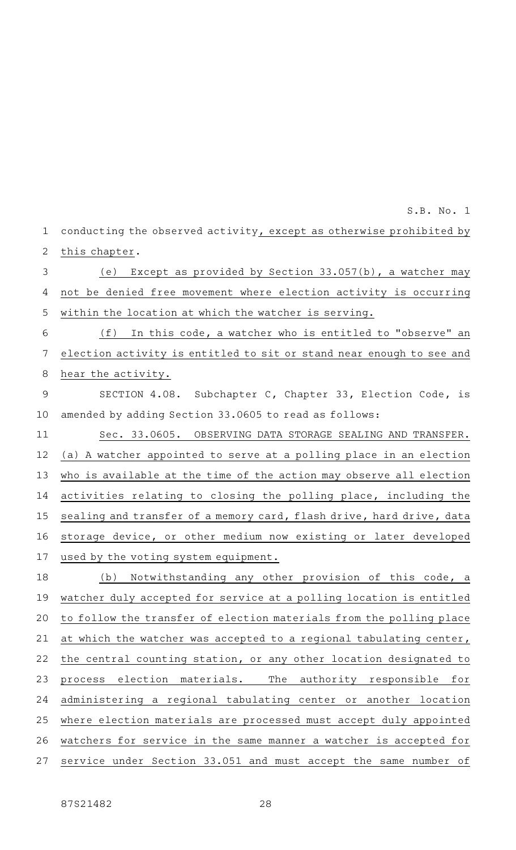conducting the observed activity, except as otherwise prohibited by this chapter. 1 2

(e) Except as provided by Section 33.057(b), a watcher may not be denied free movement where election activity is occurring within the location at which the watcher is serving. 3 4 5

 $(f)$  In this code, a watcher who is entitled to "observe" an election activity is entitled to sit or stand near enough to see and hear the activity. 6 7 8

SECTION 4.08. Subchapter C, Chapter 33, Election Code, is amended by adding Section 33.0605 to read as follows: 9 10

Sec. 33.0605. OBSERVING DATA STORAGE SEALING AND TRANSFER. (a) A watcher appointed to serve at a polling place in an election who is available at the time of the action may observe all election activities relating to closing the polling place, including the sealing and transfer of a memory card, flash drive, hard drive, data storage device, or other medium now existing or later developed used by the voting system equipment. 11 12 13 14 15 16 17

(b) Notwithstanding any other provision of this code, a watcher duly accepted for service at a polling location is entitled to follow the transfer of election materials from the polling place at which the watcher was accepted to a regional tabulating center, the central counting station, or any other location designated to process election materials. The authority responsible for administering a regional tabulating center or another location where election materials are processed must accept duly appointed watchers for service in the same manner a watcher is accepted for service under Section 33.051 and must accept the same number of 18 19 20 21 22 23 24 25 26 27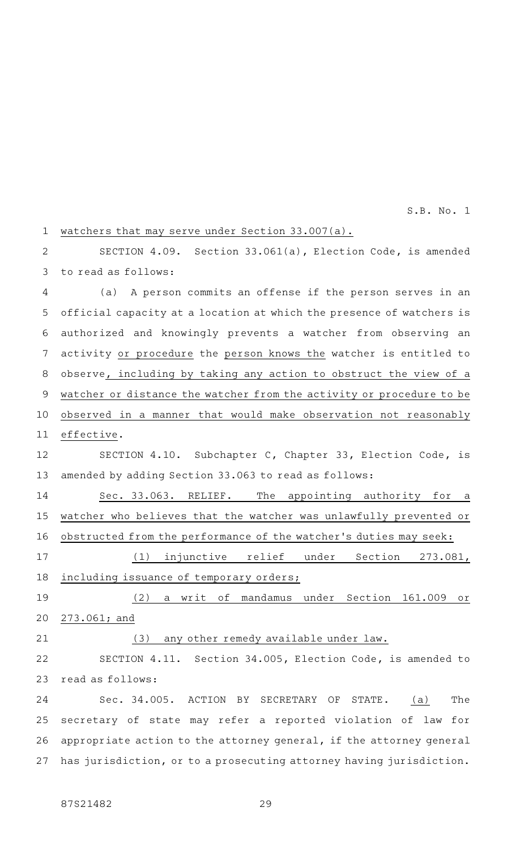### watchers that may serve under Section 33.007(a). 1

SECTION 4.09. Section 33.061(a), Election Code, is amended to read as follows: 2 3

(a) A person commits an offense if the person serves in an official capacity at a location at which the presence of watchers is authorized and knowingly prevents a watcher from observing an activity or procedure the person knows the watcher is entitled to observe, including by taking any action to obstruct the view of a watcher or distance the watcher from the activity or procedure to be observed in a manner that would make observation not reasonably effective. 4 5 6 7 8 9 10 11

SECTION 4.10. Subchapter C, Chapter 33, Election Code, is amended by adding Section 33.063 to read as follows: 12 13

Sec. 33.063. RELIEF. The appointing authority for a watcher who believes that the watcher was unlawfully prevented or obstructed from the performance of the watcher 's duties may seek: 14 15 16

(1) injunctive relief under Section 273.081, including issuance of temporary orders; 17 18

(2) a writ of mandamus under Section 161.009 or 273.061; and 19 20

21

# (3) any other remedy available under law.

SECTION 4.11. Section 34.005, Election Code, is amended to read as follows: 22 23

Sec. 34.005. ACTION BY SECRETARY OF STATE. (a) The secretary of state may refer a reported violation of law for appropriate action to the attorney general, if the attorney general has jurisdiction, or to a prosecuting attorney having jurisdiction. 24 25 26 27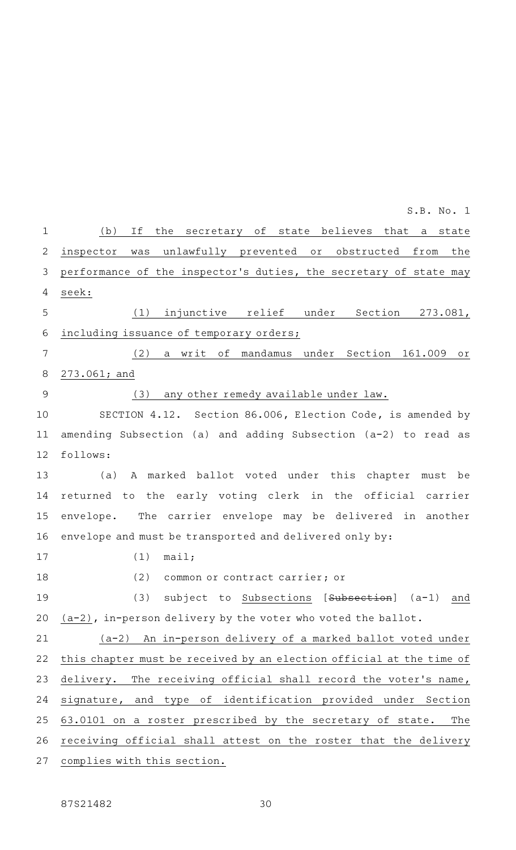| $\mathbf 1$   | (b)<br>Ιf<br>the secretary of state believes that<br>state<br>a      |
|---------------|----------------------------------------------------------------------|
| $\sqrt{2}$    | was unlawfully prevented or obstructed<br>from<br>the<br>inspector   |
| 3             | performance of the inspector's duties, the secretary of state may    |
| 4             | seek:                                                                |
| 5             | (1)<br>injunctive relief under Section 273.081,                      |
| $\sqrt{6}$    | including issuance of temporary orders;                              |
| 7             | (2)<br>a writ of mandamus under Section 161.009<br>$\circ$ r         |
| $\,8\,$       | $273.061;$ and                                                       |
| $\mathcal{G}$ | any other remedy available under law.<br>(3)                         |
| 10            | SECTION 4.12. Section 86.006, Election Code, is amended by           |
| 11            | amending Subsection (a) and adding Subsection (a-2) to read as       |
| 12            | follows:                                                             |
| 13            | A marked ballot voted under this chapter must be<br>(a)              |
| 14            | returned to the early voting clerk in the official carrier           |
| 15            | The carrier envelope may be delivered in another<br>envelope.        |
| 16            | envelope and must be transported and delivered only by:              |
| 17            | (1)<br>mail;                                                         |
| 18            | (2)<br>common or contract carrier; or                                |
| 19            | (3) subject to Subsections [Subsection] (a-1)<br>and                 |
| 20            | $(a-2)$ , in-person delivery by the voter who voted the ballot.      |
| 21            | (a-2) An in-person delivery of a marked ballot voted under           |
| 22            | this chapter must be received by an election official at the time of |
| 23            | The receiving official shall record the voter's name,<br>delivery.   |
| 24            | signature, and type of identification provided under Section         |
| 25            | 63.0101 on a roster prescribed by the secretary of state.<br>The     |
| 26            | receiving official shall attest on the roster that the delivery      |
| 27            | complies with this section.                                          |
|               |                                                                      |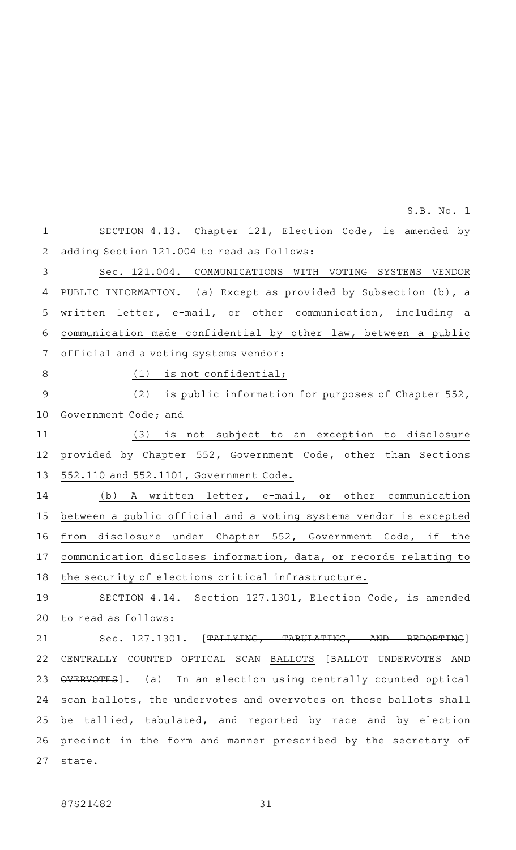SECTION 4.13. Chapter 121, Election Code, is amended by adding Section 121.004 to read as follows: Sec. 121.004. COMMUNICATIONS WITH VOTING SYSTEMS VENDOR PUBLIC INFORMATION. (a) Except as provided by Subsection (b), a written letter, e-mail, or other communication, including a communication made confidential by other law, between a public official and a voting systems vendor:  $(1)$  is not confidential; (2) is public information for purposes of Chapter 552, Government Code; and (3) is not subject to an exception to disclosure provided by Chapter 552, Government Code, other than Sections 552.110 and 552.1101, Government Code. (b) A written letter, e-mail, or other communication between a public official and a voting systems vendor is excepted from disclosure under Chapter 552, Government Code, if the communication discloses information, data, or records relating to the security of elections critical infrastructure. SECTION 4.14. Section 127.1301, Election Code, is amended to read as follows: Sec. 127.1301. [TALLYING, TABULATING, AND REPORTING] CENTRALLY COUNTED OPTICAL SCAN BALLOTS [BALLOT UNDERVOTES AND OVERVOTES]. (a) In an election using centrally counted optical scan ballots, the undervotes and overvotes on those ballots shall be tallied, tabulated, and reported by race and by election precinct in the form and manner prescribed by the secretary of state. 1 2 3 4 5 6 7 8 9 10 11 12 13 14 15 16 17 18 19 20 21 22 23 24 25 26 27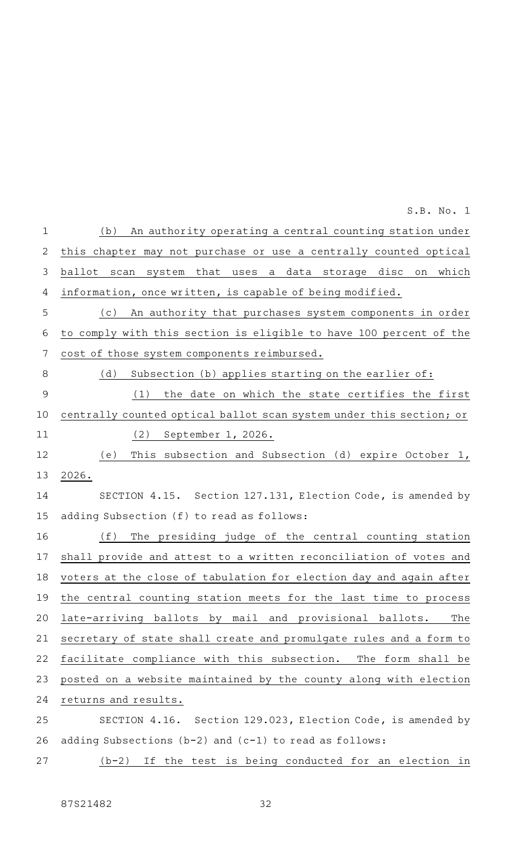(b) An authority operating a central counting station under this chapter may not purchase or use a centrally counted optical ballot scan system that uses a data storage disc on which information, once written, is capable of being modified. (c) An authority that purchases system components in order to comply with this section is eligible to have 100 percent of the cost of those system components reimbursed. (d) Subsection (b) applies starting on the earlier of:  $(1)$  the date on which the state certifies the first centrally counted optical ballot scan system under this section; or (2) September 1, 2026. (e) This subsection and Subsection (d) expire October 1, 2026. SECTION 4.15. Section 127.131, Election Code, is amended by adding Subsection (f) to read as follows: (f) The presiding judge of the central counting station shall provide and attest to a written reconciliation of votes and voters at the close of tabulation for election day and again after the central counting station meets for the last time to process late-arriving ballots by mail and provisional ballots. The secretary of state shall create and promulgate rules and a form to facilitate compliance with this subsection. The form shall be posted on a website maintained by the county along with election returns and results. SECTION 4.16. Section 129.023, Election Code, is amended by adding Subsections (b-2) and (c-1) to read as follows:  $(b-2)$  If the test is being conducted for an election in 1 2 3 4 5 6 7 8 9 10 11 12 13 14 15 16 17 18 19 20 21 22 23 24 25 26 27 S.B. No. 1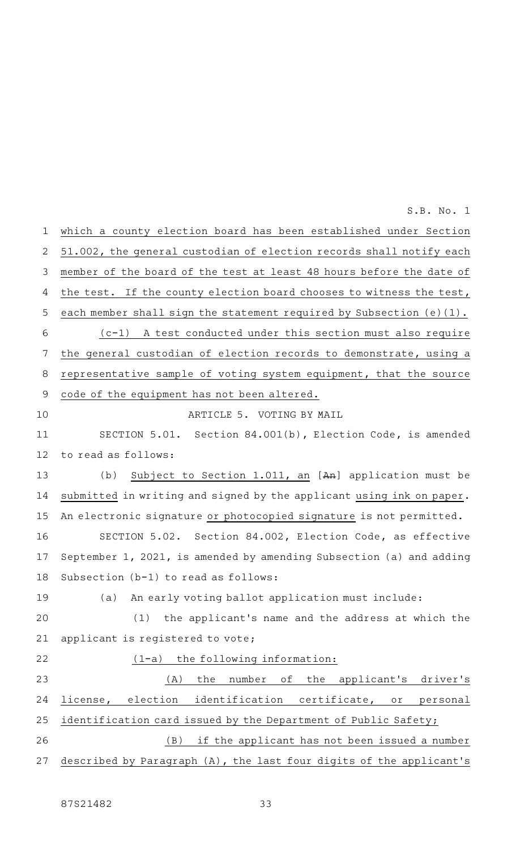which a county election board has been established under Section 51.002, the general custodian of election records shall notify each member of the board of the test at least 48 hours before the date of the test. If the county election board chooses to witness the test, each member shall sign the statement required by Subsection (e)(1).  $(c-1)$  A test conducted under this section must also require the general custodian of election records to demonstrate, using a representative sample of voting system equipment, that the source code of the equipment has not been altered. ARTICLE 5. VOTING BY MAIL SECTION 5.01. Section 84.001(b), Election Code, is amended to read as follows: (b) Subject to Section 1.011, an  $[An]$  application must be submitted in writing and signed by the applicant using ink on paper. An electronic signature or photocopied signature is not permitted. SECTION 5.02. Section 84.002, Election Code, as effective September 1, 2021, is amended by amending Subsection (a) and adding Subsection (b-1) to read as follows: (a) An early voting ballot application must include:  $(1)$  the applicant's name and the address at which the applicant is registered to vote;  $(1-a)$  the following information: (A) the number of the applicant's driver's license, election identification certificate, or personal identification card issued by the Department of Public Safety; (B) if the applicant has not been issued a number described by Paragraph (A), the last four digits of the applicant's 1 2 3 4 5 6 7 8 9 10 11 12 13 14 15 16 17 18 19 20 21 22 23 24 25 26 27 S.B. No. 1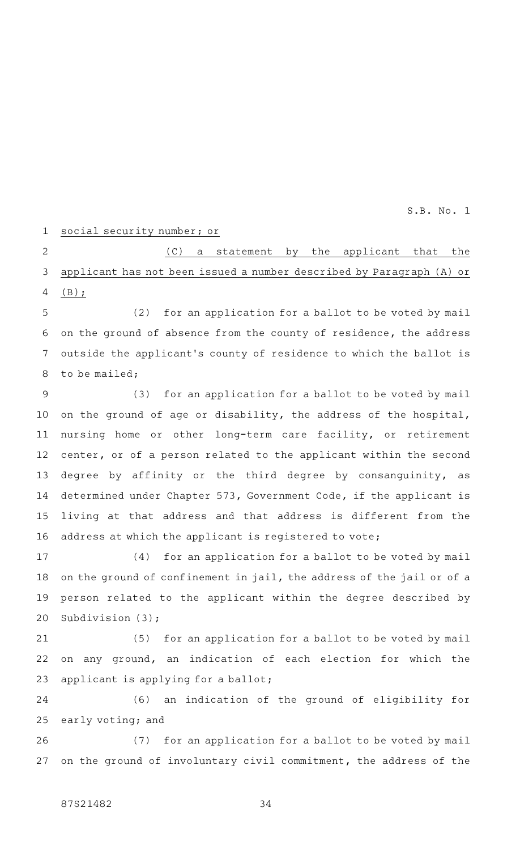#### social security number; or 1

(C) a statement by the applicant that the applicant has not been issued a number described by Paragraph (A) or (B); 2 3 4

(2) for an application for a ballot to be voted by mail on the ground of absence from the county of residence, the address outside the applicant 's county of residence to which the ballot is to be mailed; 5 6 7 8

(3) for an application for a ballot to be voted by mail on the ground of age or disability, the address of the hospital, nursing home or other long-term care facility, or retirement center, or of a person related to the applicant within the second degree by affinity or the third degree by consanguinity, as determined under Chapter 573, Government Code, if the applicant is living at that address and that address is different from the address at which the applicant is registered to vote; 9 10 11 12 13 14 15 16

(4) for an application for a ballot to be voted by mail on the ground of confinement in jail, the address of the jail or of a person related to the applicant within the degree described by Subdivision (3); 17 18 19 20

(5) for an application for a ballot to be voted by mail on any ground, an indication of each election for which the applicant is applying for a ballot; 21 22 23

(6) an indication of the ground of eligibility for early voting; and 24 25

(7) for an application for a ballot to be voted by mail on the ground of involuntary civil commitment, the address of the 26 27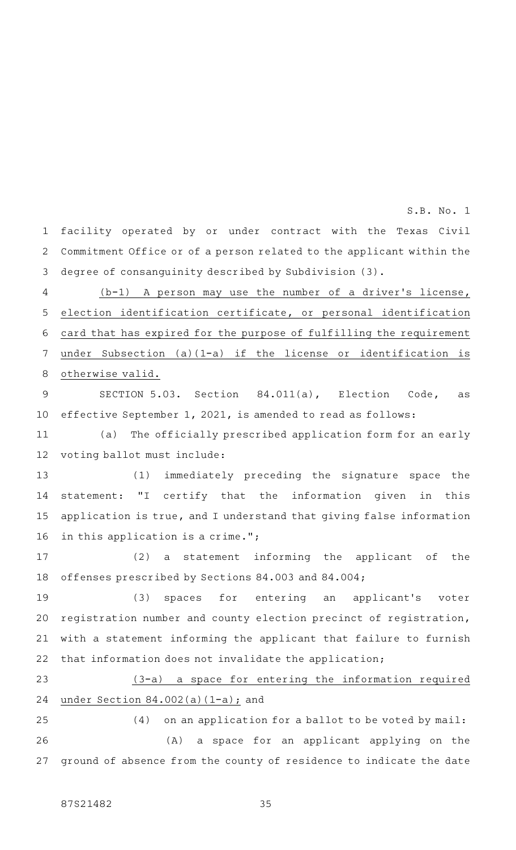facility operated by or under contract with the Texas Civil Commitment Office or of a person related to the applicant within the degree of consanguinity described by Subdivision (3). 1 2 3

S.B. No. 1

 $(b-1)$  A person may use the number of a driver's license, election identification certificate, or personal identification card that has expired for the purpose of fulfilling the requirement under Subsection (a)(1-a) if the license or identification is otherwise valid. 4 5 6 7 8

SECTION 5.03. Section 84.011(a), Election Code, as effective September 1, 2021, is amended to read as follows: 9 10

(a) The officially prescribed application form for an early voting ballot must include: 11 12

(1) immediately preceding the signature space the statement: "I certify that the information given in this application is true, and I understand that giving false information in this application is a crime."; 13 14 15 16

(2) a statement informing the applicant of the offenses prescribed by Sections 84.003 and 84.004; 17 18

(3) spaces for entering an applicant's voter registration number and county election precinct of registration, with a statement informing the applicant that failure to furnish that information does not invalidate the application; 19 20 21 22

(3-a) a space for entering the information required under Section 84.002(a)(1-a); and 23 24

 $(4)$  on an application for a ballot to be voted by mail: (A) a space for an applicant applying on the ground of absence from the county of residence to indicate the date 25 26 27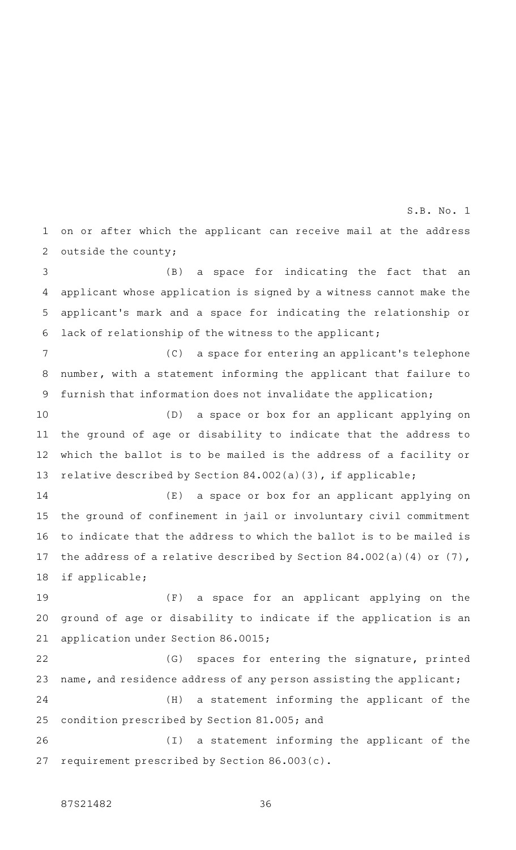on or after which the applicant can receive mail at the address outside the county; 1 2 S.B. No. 1

(B) a space for indicating the fact that an applicant whose application is signed by a witness cannot make the applicant 's mark and a space for indicating the relationship or lack of relationship of the witness to the applicant; 3 4 5 6

(C) a space for entering an applicant's telephone number, with a statement informing the applicant that failure to furnish that information does not invalidate the application; 7 8 9

(D) a space or box for an applicant applying on the ground of age or disability to indicate that the address to which the ballot is to be mailed is the address of a facility or relative described by Section 84.002(a)(3), if applicable; 10 11 12 13

 $(E)$  a space or box for an applicant applying on the ground of confinement in jail or involuntary civil commitment to indicate that the address to which the ballot is to be mailed is the address of a relative described by Section 84.002(a)(4) or (7), if applicable; 14 15 16 17 18

(F) a space for an applicant applying on the ground of age or disability to indicate if the application is an application under Section 86.0015; 19 20 21

(G) spaces for entering the signature, printed name, and residence address of any person assisting the applicant; 22 23

(H) a statement informing the applicant of the condition prescribed by Section 81.005; and 24 25

(I) a statement informing the applicant of the requirement prescribed by Section 86.003(c). 26 27

## 87S21482 36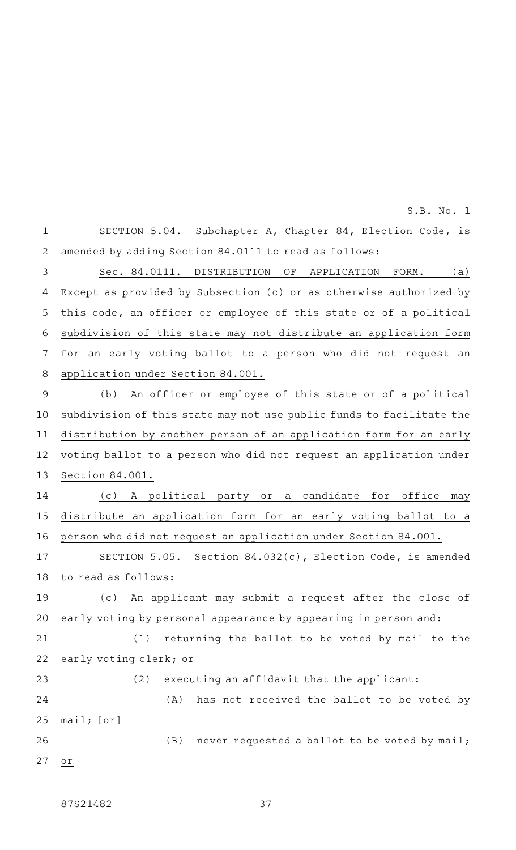SECTION 5.04. Subchapter A, Chapter 84, Election Code, is amended by adding Section 84.0111 to read as follows: Sec. 84.0111. DISTRIBUTION OF APPLICATION FORM. (a) Except as provided by Subsection (c) or as otherwise authorized by this code, an officer or employee of this state or of a political subdivision of this state may not distribute an application form for an early voting ballot to a person who did not request an application under Section 84.001. (b) An officer or employee of this state or of a political subdivision of this state may not use public funds to facilitate the distribution by another person of an application form for an early voting ballot to a person who did not request an application under Section 84.001. (c)AAA political party or a candidate for office may distribute an application form for an early voting ballot to a person who did not request an application under Section 84.001. SECTION 5.05. Section 84.032(c), Election Code, is amended to read as follows: (c) An applicant may submit a request after the close of 1 2 3 4 5 6 7 8 9 10 11 12 13 14 15 16 17 18 19

early voting by personal appearance by appearing in person and: 20

(1) returning the ballot to be voted by mail to the early voting clerk; or 21 22

 $(2)$  executing an affidavit that the applicant: (A) has not received the ballot to be voted by mail;  $[ $\theta$  +  $\theta$ ]$  $(B)$  never requested a ballot to be voted by mail; or 23 24 25 26 27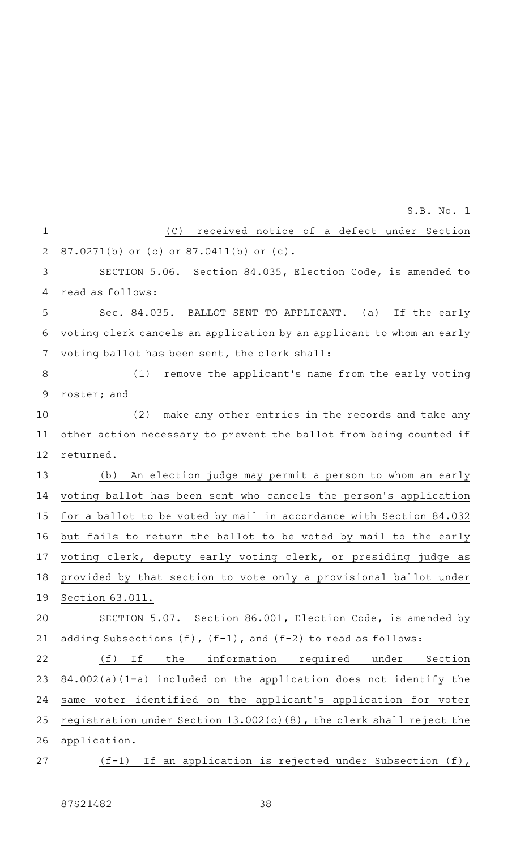(C) received notice of a defect under Section 87.0271(b) or (c) or 87.0411(b) or (c). SECTION 5.06. Section 84.035, Election Code, is amended to read as follows: Sec. 84.035. BALLOT SENT TO APPLICANT. (a) If the early voting clerk cancels an application by an applicant to whom an early voting ballot has been sent, the clerk shall: (1) remove the applicant's name from the early voting roster; and (2) make any other entries in the records and take any other action necessary to prevent the ballot from being counted if returned. (b) An election judge may permit a person to whom an early voting ballot has been sent who cancels the person 's application for a ballot to be voted by mail in accordance with Section 84.032 but fails to return the ballot to be voted by mail to the early voting clerk, deputy early voting clerk, or presiding judge as provided by that section to vote only a provisional ballot under Section 63.011. SECTION 5.07. Section 86.001, Election Code, is amended by adding Subsections (f), (f-1), and (f-2) to read as follows: (f) If the information required under Section 84.002(a)(1-a) included on the application does not identify the same voter identified on the applicant 's application for voter registration under Section 13.002(c)(8), the clerk shall reject the application. (f-1) If an application is rejected under Subsection (f), 1 2 3 4 5 6 7 8 9 10 11 12 13 14 15 16 17 18 19 20 21 22 23 24 25 26 27 S.B. No. 1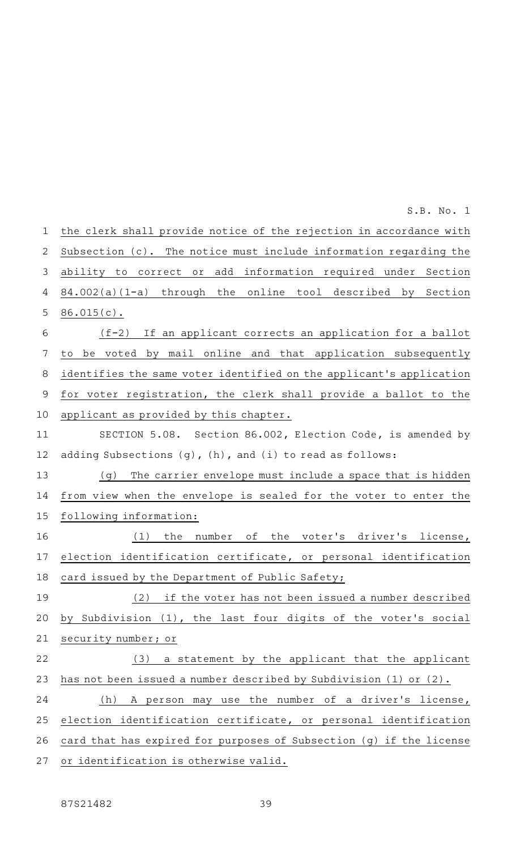the clerk shall provide notice of the rejection in accordance with Subsection (c). The notice must include information regarding the ability to correct or add information required under Section 84.002(a)(1-a) through the online tool described by Section 86.015(c).  $(f-2)$  If an applicant corrects an application for a ballot to be voted by mail online and that application subsequently identifies the same voter identified on the applicant 's application for voter registration, the clerk shall provide a ballot to the applicant as provided by this chapter. SECTION 5.08. Section 86.002, Election Code, is amended by adding Subsections (g), (h), and (i) to read as follows: (g) The carrier envelope must include a space that is hidden from view when the envelope is sealed for the voter to enter the following information:  $(1)$  the number of the voter's driver's license, election identification certificate, or personal identification card issued by the Department of Public Safety; (2) if the voter has not been issued a number described by Subdivision (1), the last four digits of the voter's social security number; or (3) a statement by the applicant that the applicant has not been issued a number described by Subdivision (1) or (2). (h) A person may use the number of a driver's license, election identification certificate, or personal identification card that has expired for purposes of Subsection (g) if the license or identification is otherwise valid. 1 2 3 4 5 6 7 8 9 10 11 12 13 14 15 16 17 18 19 20 21 22 23 24 25 26 27 S.B. No. 1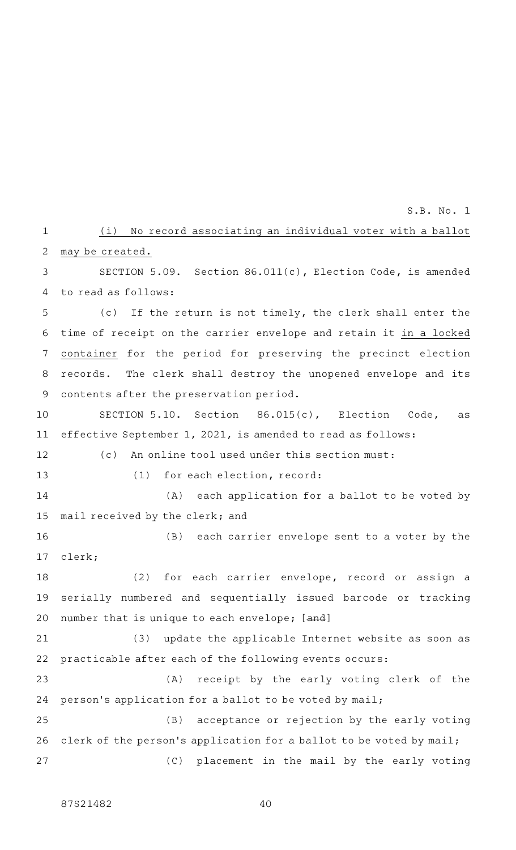### (i) No record associating an individual voter with a ballot may be created. 1 2

SECTION 5.09. Section 86.011(c), Election Code, is amended to read as follows: 3 4

(c) If the return is not timely, the clerk shall enter the time of receipt on the carrier envelope and retain it in a locked container for the period for preserving the precinct election records. The clerk shall destroy the unopened envelope and its contents after the preservation period. 5 6 7 8 9

SECTION 5.10. Section  $86.015(c)$ , Election Code, as effective September 1, 2021, is amended to read as follows: 10 11

(c) An online tool used under this section must: 12

13

 $(1)$  for each election, record:

 $(A)$  each application for a ballot to be voted by mail received by the clerk; and 14 15

(B) each carrier envelope sent to a voter by the clerk; 16 17

(2) for each carrier envelope, record or assign a serially numbered and sequentially issued barcode or tracking number that is unique to each envelope; [and] 18 19 20

(3) update the applicable Internet website as soon as practicable after each of the following events occurs: 21 22

(A) receipt by the early voting clerk of the person's application for a ballot to be voted by mail; 23 24

(B) acceptance or rejection by the early voting clerk of the person's application for a ballot to be voted by mail; (C) placement in the mail by the early voting 25 26 27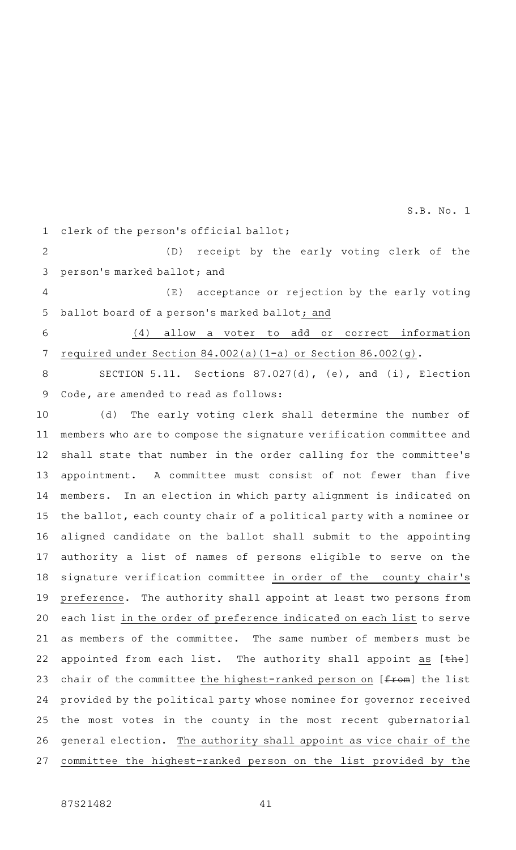clerk of the person 's official ballot; 1

(D) receipt by the early voting clerk of the person 's marked ballot; and 2 3

(E) acceptance or rejection by the early voting ballot board of a person 's marked ballot; and 4 5

(4) allow a voter to add or correct information required under Section 84.002(a)(1-a) or Section 86.002(g). 6 7

SECTION 5.11. Sections 87.027(d), (e), and (i), Election Code, are amended to read as follows: 8 9

(d) The early voting clerk shall determine the number of members who are to compose the signature verification committee and shall state that number in the order calling for the committee 's appointment. A committee must consist of not fewer than five members. In an election in which party alignment is indicated on the ballot, each county chair of a political party with a nominee or aligned candidate on the ballot shall submit to the appointing authority a list of names of persons eligible to serve on the signature verification committee in order of the county chair 's preference. The authority shall appoint at least two persons from each list in the order of preference indicated on each list to serve as members of the committee. The same number of members must be appointed from each list. The authority shall appoint as [the] chair of the committee the highest-ranked person on [from] the list provided by the political party whose nominee for governor received the most votes in the county in the most recent gubernatorial general election. The authority shall appoint as vice chair of the committee the highest-ranked person on the list provided by the 10 11 12 13 14 15 16 17 18 19 20 21 22 23 24 25 26 27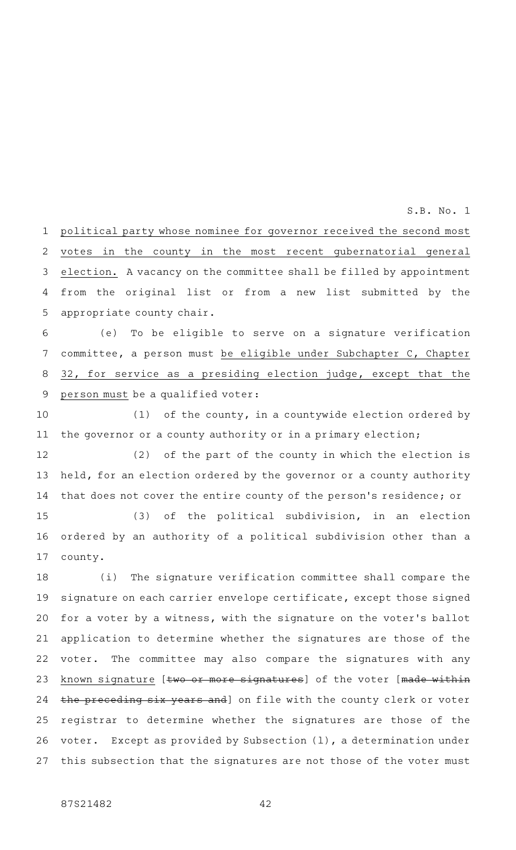political party whose nominee for governor received the second most votes in the county in the most recent gubernatorial general election. A vacancy on the committee shall be filled by appointment from the original list or from a new list submitted by the appropriate county chair. 1 2 3 4 5

(e) To be eligible to serve on a signature verification committee, a person must be eligible under Subchapter C, Chapter 32, for service as a presiding election judge, except that the person must be a qualified voter: 6 7 8 9

(1) of the county, in a countywide election ordered by the governor or a county authority or in a primary election; 10 11

(2) of the part of the county in which the election is held, for an election ordered by the governor or a county authority that does not cover the entire county of the person 's residence; or 12 13 14

(3) of the political subdivision, in an election ordered by an authority of a political subdivision other than a county. 15 16 17

(i) The signature verification committee shall compare the signature on each carrier envelope certificate, except those signed for a voter by a witness, with the signature on the voter 's ballot application to determine whether the signatures are those of the voter. The committee may also compare the signatures with any known signature [two or more signatures] of the voter [made within the preceding six years and] on file with the county clerk or voter registrar to determine whether the signatures are those of the voter. Except as provided by Subsection (l), a determination under this subsection that the signatures are not those of the voter must 18 19 20 21 22 23 24 25 26 27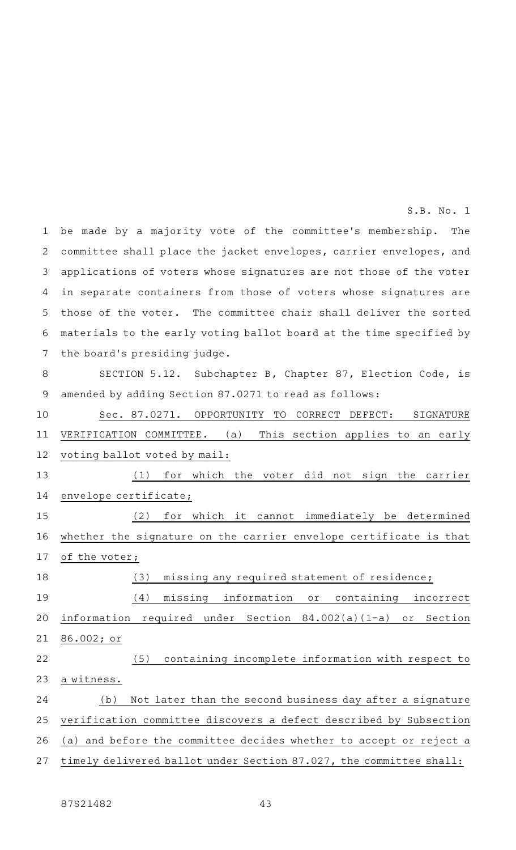be made by a majority vote of the committee's membership. The committee shall place the jacket envelopes, carrier envelopes, and applications of voters whose signatures are not those of the voter in separate containers from those of voters whose signatures are those of the voter. The committee chair shall deliver the sorted materials to the early voting ballot board at the time specified by the board's presiding judge. 1 2 3 4 5 6 7 S.B. No. 1

#### SECTION 5.12. Subchapter B, Chapter 87, Election Code, is amended by adding Section 87.0271 to read as follows: 8 9

Sec. 87.0271. OPPORTUNITY TO CORRECT DEFECT: SIGNATURE VERIFICATION COMMITTEE. (a) This section applies to an early voting ballot voted by mail: (1) for which the voter did not sign the carrier envelope certificate; (2) for which it cannot immediately be determined whether the signature on the carrier envelope certificate is that of the voter; (3) missing any required statement of residence; (4) missing information or containing incorrect information required under Section 84.002(a)(1-a) or Section 86.002; or (5) containing incomplete information with respect to a witness. (b) Not later than the second business day after a signature verification committee discovers a defect described by Subsection (a) and before the committee decides whether to accept or reject a timely delivered ballot under Section 87.027, the committee shall: 10 11 12 13 14 15 16 17 18 19 20 21 22 23 24 25 26 27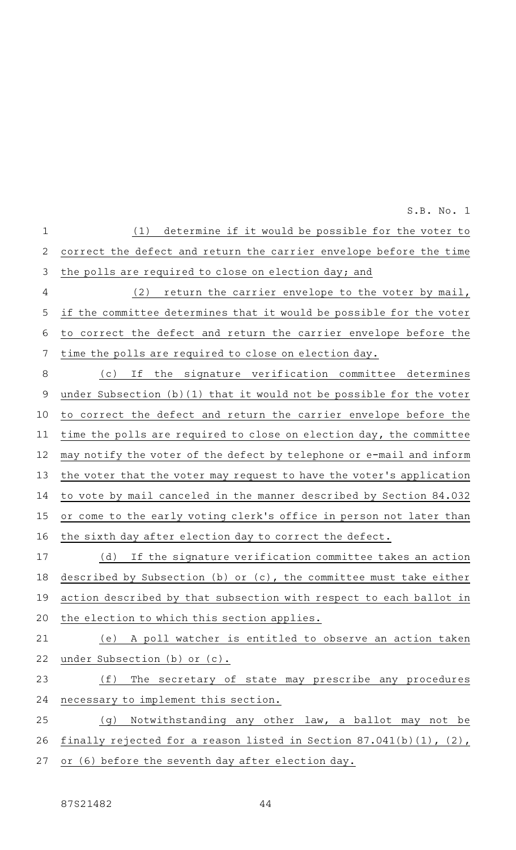(1) determine if it would be possible for the voter to correct the defect and return the carrier envelope before the time the polls are required to close on election day; and (2) return the carrier envelope to the voter by mail, if the committee determines that it would be possible for the voter to correct the defect and return the carrier envelope before the time the polls are required to close on election day. (c) If the signature verification committee determines 1 2 3 4 5 6 7 8

S.B. No. 1

under Subsection (b)(1) that it would not be possible for the voter to correct the defect and return the carrier envelope before the time the polls are required to close on election day, the committee may notify the voter of the defect by telephone or e-mail and inform the voter that the voter may request to have the voter 's application to vote by mail canceled in the manner described by Section 84.032 or come to the early voting clerk 's office in person not later than the sixth day after election day to correct the defect. 9 10 11 12 13 14 15 16

(d) If the signature verification committee takes an action described by Subsection (b) or (c), the committee must take either action described by that subsection with respect to each ballot in the election to which this section applies. 17 18 19 20

(e) A poll watcher is entitled to observe an action taken under Subsection (b) or (c). 21 22

### (f) The secretary of state may prescribe any procedures necessary to implement this section. 23 24

(g) Notwithstanding any other law, a ballot may not be finally rejected for a reason listed in Section 87.041(b)(1), (2), or (6) before the seventh day after election day. 25 26 27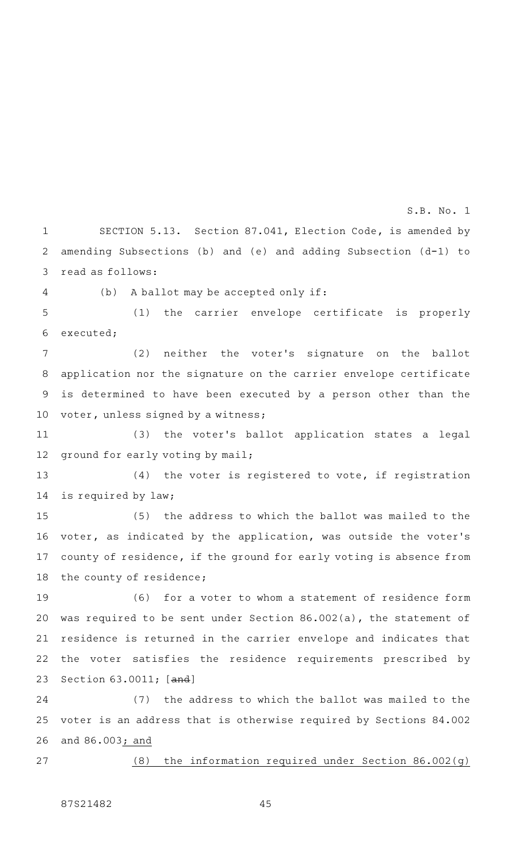SECTION 5.13. Section 87.041, Election Code, is amended by amending Subsections (b) and (e) and adding Subsection (d-1) to read as follows: 1 2 3

(b) A ballot may be accepted only if: 4

(1) the carrier envelope certificate is properly executed; 5 6

(2) neither the voter's signature on the ballot application nor the signature on the carrier envelope certificate is determined to have been executed by a person other than the voter, unless signed by a witness; 7 8 9 10

(3) the voter's ballot application states a legal ground for early voting by mail; 11 12

 $(4)$  the voter is registered to vote, if registration is required by law; 13 14

(5) the address to which the ballot was mailed to the voter, as indicated by the application, was outside the voter 's county of residence, if the ground for early voting is absence from the county of residence; 15 16 17 18

(6) for a voter to whom a statement of residence form was required to be sent under Section 86.002(a), the statement of residence is returned in the carrier envelope and indicates that the voter satisfies the residence requirements prescribed by Section 63.0011; [and] 19 20 21 22 23

(7) the address to which the ballot was mailed to the voter is an address that is otherwise required by Sections 84.002 and 86.003; and 24 25 26

(8) the information required under Section 86.002(g) 27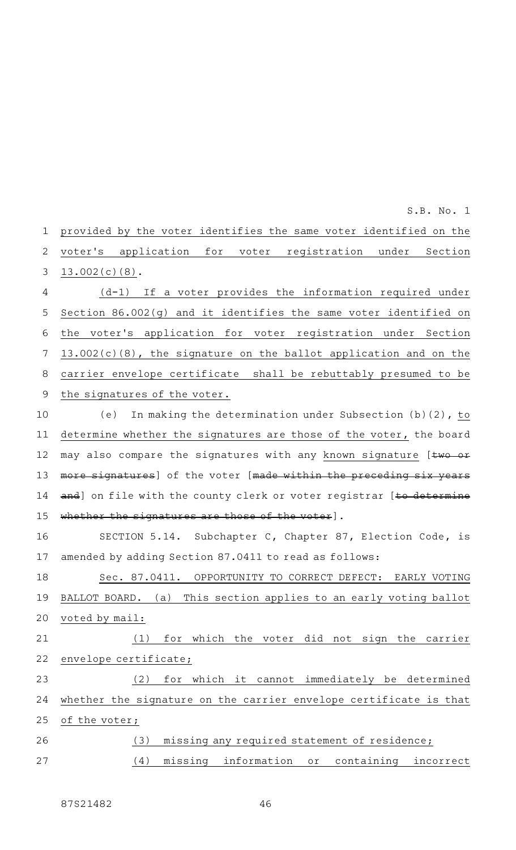provided by the voter identifies the same voter identified on the voter 's application for voter registration under Section 13.002(c)(8).  $(d-1)$  If a voter provides the information required under Section 86.002(g) and it identifies the same voter identified on the voter 's application for voter registration under Section 13.002(c)(8), the signature on the ballot application and on the 1 2 3 4 5 6 7

carrier envelope certificate shall be rebuttably presumed to be the signatures of the voter. 8 9

(e) In making the determination under Subsection (b)(2), to determine whether the signatures are those of the voter, the board may also compare the signatures with any known signature [two or more signatures] of the voter [made within the preceding six years and] on file with the county clerk or voter registrar [to determine whether the signatures are those of the voter]. 10 11 12 13 14 15

SECTION 5.14. Subchapter C, Chapter 87, Election Code, is amended by adding Section 87.0411 to read as follows: 16 17

Sec. 87.0411. OPPORTUNITY TO CORRECT DEFECT: EARLY VOTING BALLOT BOARD. (a) This section applies to an early voting ballot voted by mail: 18 19 20

(1) for which the voter did not sign the carrier envelope certificate; 21 22

(2) for which it cannot immediately be determined whether the signature on the carrier envelope certificate is that of the voter; 23 24 25

| 26 |  | (3) missing any required statement of residence; |  |  |
|----|--|--------------------------------------------------|--|--|
| 27 |  | (4) missing information or containing incorrect  |  |  |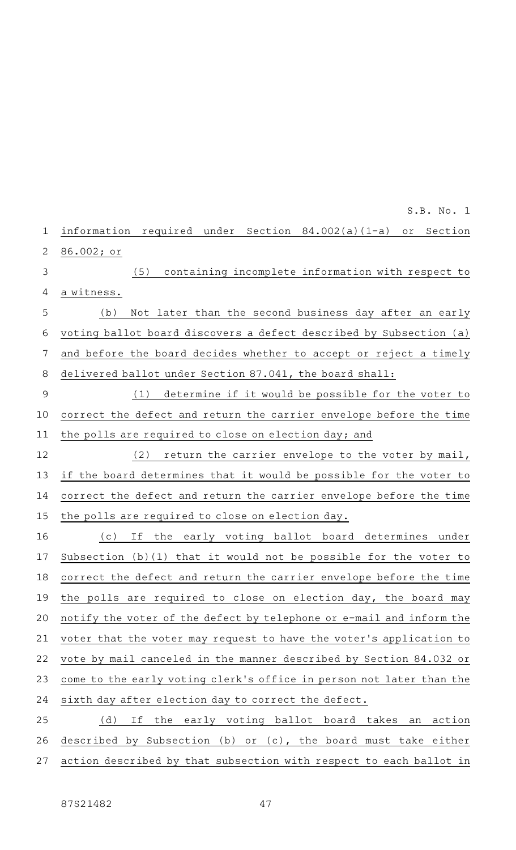information required under Section 84.002(a)(1-a) or Section 86.002; or 1 2

(5) containing incomplete information with respect to a witness. 3 4

(b) Not later than the second business day after an early voting ballot board discovers a defect described by Subsection (a) and before the board decides whether to accept or reject a timely delivered ballot under Section 87.041, the board shall: 5 6 7 8

(1) determine if it would be possible for the voter to correct the defect and return the carrier envelope before the time the polls are required to close on election day; and 9 10 11

(2) return the carrier envelope to the voter by mail, if the board determines that it would be possible for the voter to correct the defect and return the carrier envelope before the time the polls are required to close on election day. 12 13 14 15

(c) If the early voting ballot board determines under Subsection (b)(1) that it would not be possible for the voter to correct the defect and return the carrier envelope before the time the polls are required to close on election day, the board may notify the voter of the defect by telephone or e-mail and inform the voter that the voter may request to have the voter 's application to vote by mail canceled in the manner described by Section 84.032 or come to the early voting clerk 's office in person not later than the sixth day after election day to correct the defect. 16 17 18 19 20 21 22 23 24

(d) If the early voting ballot board takes an action described by Subsection (b) or (c), the board must take either action described by that subsection with respect to each ballot in 25 26 27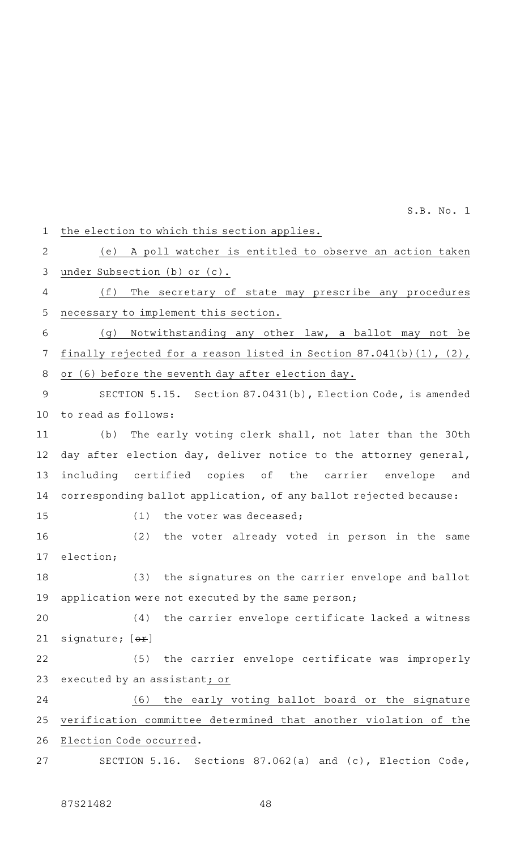the election to which this section applies. (e) A poll watcher is entitled to observe an action taken under Subsection (b) or (c). (f) The secretary of state may prescribe any procedures necessary to implement this section. (g) Notwithstanding any other law, a ballot may not be finally rejected for a reason listed in Section 87.041(b)(1), (2), or (6) before the seventh day after election day. SECTION 5.15. Section 87.0431(b), Election Code, is amended to read as follows: (b) The early voting clerk shall, not later than the 30th day after election day, deliver notice to the attorney general, including certified copies of the carrier envelope and corresponding ballot application, of any ballot rejected because:  $(1)$  the voter was deceased; (2) the voter already voted in person in the same election; (3) the signatures on the carrier envelope and ballot application were not executed by the same person;  $(4)$  the carrier envelope certificate lacked a witness signature; [or] (5) the carrier envelope certificate was improperly executed by an assistant; or (6) the early voting ballot board or the signature verification committee determined that another violation of the Election Code occurred. SECTION 5.16. Sections 87.062(a) and (c), Election Code, 1 2 3 4 5 6 7 8 9 10 11 12 13 14 15 16 17 18 19 20 21 22 23 24 25 26 27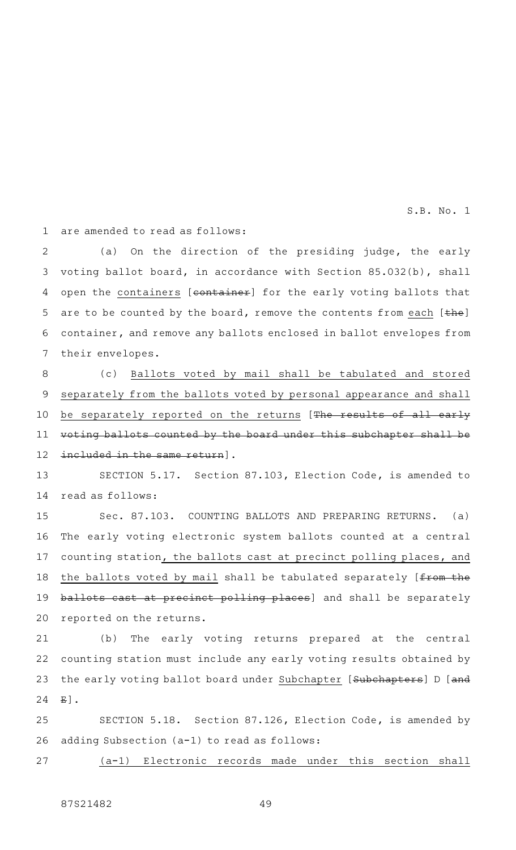are amended to read as follows: 1

(a) On the direction of the presiding judge, the early voting ballot board, in accordance with Section 85.032(b), shall open the containers [container] for the early voting ballots that are to be counted by the board, remove the contents from each  $[the]$ container, and remove any ballots enclosed in ballot envelopes from their envelopes. 2 3 4 5 6 7

(c) Ballots voted by mail shall be tabulated and stored separately from the ballots voted by personal appearance and shall be separately reported on the returns [The results of all early voting ballots counted by the board under this subchapter shall be included in the same return]. 8 9 10 11 12

SECTION 5.17. Section 87.103, Election Code, is amended to read as follows: 13 14

Sec. 87.103. COUNTING BALLOTS AND PREPARING RETURNS. (a) The early voting electronic system ballots counted at a central counting station, the ballots cast at precinct polling places, and the ballots voted by mail shall be tabulated separately [from the ballots cast at precinct polling places] and shall be separately reported on the returns. 15 16 17 18 19 20

(b) The early voting returns prepared at the central counting station must include any early voting results obtained by the early voting ballot board under Subchapter [Subchapters] D [and  $E$ ]. 21 22 23 24

SECTION 5.18. Section 87.126, Election Code, is amended by adding Subsection (a-1) to read as follows: 25 26

27

(a-1) Electronic records made under this section shall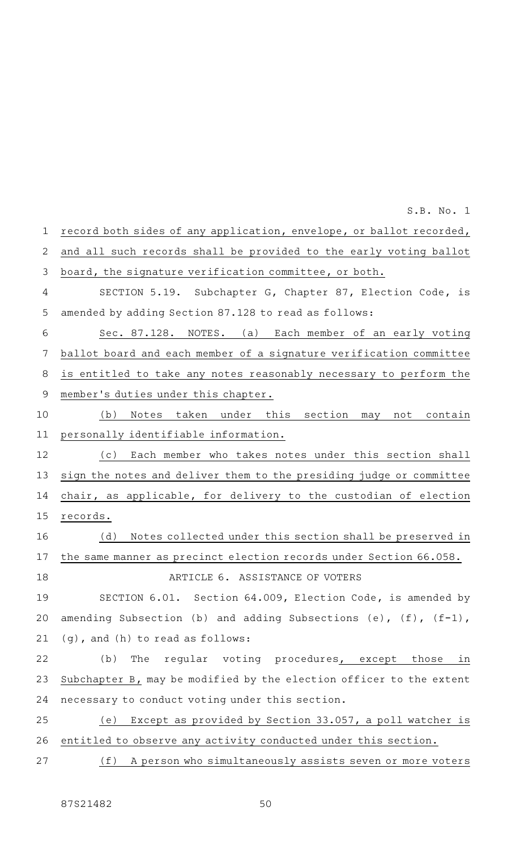record both sides of any application, envelope, or ballot recorded, and all such records shall be provided to the early voting ballot board, the signature verification committee, or both. SECTION 5.19. Subchapter G, Chapter 87, Election Code, is amended by adding Section 87.128 to read as follows: Sec. 87.128. NOTES. (a) Each member of an early voting ballot board and each member of a signature verification committee is entitled to take any notes reasonably necessary to perform the member 's duties under this chapter. (b) Notes taken under this section may not contain personally identifiable information. (c) Each member who takes notes under this section shall sign the notes and deliver them to the presiding judge or committee chair, as applicable, for delivery to the custodian of election records. (d) Notes collected under this section shall be preserved in the same manner as precinct election records under Section 66.058. ARTICLE 6. ASSISTANCE OF VOTERS SECTION 6.01. Section 64.009, Election Code, is amended by amending Subsection (b) and adding Subsections (e),  $(f)$ ,  $(f-1)$ , (g), and (h) to read as follows: (b) The regular voting procedures, except those in Subchapter B, may be modified by the election officer to the extent necessary to conduct voting under this section. (e) Except as provided by Section  $33.057$ , a poll watcher is entitled to observe any activity conducted under this section. (f) A person who simultaneously assists seven or more voters 1 2 3 4 5 6 7 8 9 10 11 12 13 14 15 16 17 18 19 20 21 22 23 24 25 26 27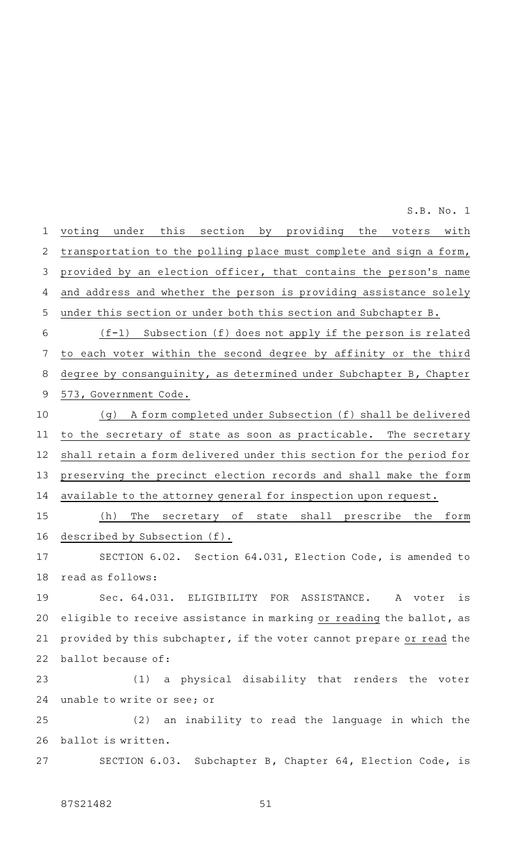voting under this section by providing the voters with transportation to the polling place must complete and sign a form, provided by an election officer, that contains the person's name and address and whether the person is providing assistance solely under this section or under both this section and Subchapter B.  $(f-1)$  Subsection (f) does not apply if the person is related to each voter within the second degree by affinity or the third degree by consanguinity, as determined under Subchapter B, Chapter 573, Government Code. (g) A form completed under Subsection (f) shall be delivered to the secretary of state as soon as practicable. The secretary shall retain a form delivered under this section for the period for preserving the precinct election records and shall make the form available to the attorney general for inspection upon request. (h) The secretary of state shall prescribe the form described by Subsection (f). SECTION 6.02. Section 64.031, Election Code, is amended to read as follows: Sec. 64.031. ELIGIBILITY FOR ASSISTANCE. A voter is eligible to receive assistance in marking or reading the ballot, as provided by this subchapter, if the voter cannot prepare or read the ballot because of: (1) a physical disability that renders the voter unable to write or see; or (2) an inability to read the language in which the ballot is written. SECTION 6.03. Subchapter B, Chapter 64, Election Code, is 1 2 3 4 5 6 7 8 9 10 11 12 13 14 15 16 17 18 19 20 21 22 23 24 25 26 27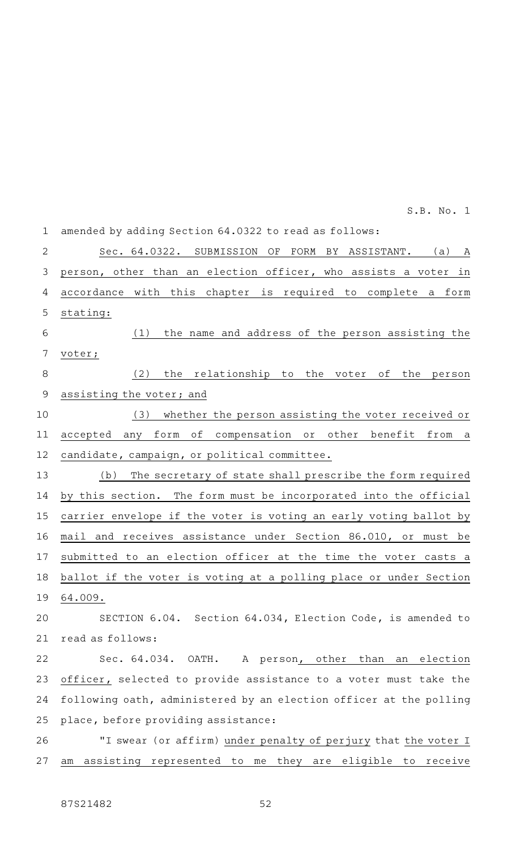| $\mathbf 1$    | amended by adding Section 64.0322 to read as follows:                       |
|----------------|-----------------------------------------------------------------------------|
| $\overline{2}$ | Sec. 64.0322.<br>SUBMISSION<br>OF<br>FORM BY ASSISTANT.<br>(a)<br>A         |
| 3              | person, other than an election officer, who assists a voter<br>in           |
| 4              | with this chapter<br>is required to complete a form<br>accordance           |
| 5              | stating:                                                                    |
| 6              | the name and address of the person assisting the<br>(1)                     |
| 7              | voter;                                                                      |
| 8              | (2)<br>the relationship to<br>the voter<br>of<br>the<br>person              |
| $\mathsf 9$    | assisting the voter; and                                                    |
| 10             | whether the person assisting the voter received or<br>(3)                   |
| 11             | оf<br>compensation or other benefit<br>form<br>from<br>accepted<br>any<br>a |
| 12             | candidate, campaign, or political committee.                                |
| 13             | The secretary of state shall prescribe the form required<br>(b)             |
| 14             | by this section. The form must be incorporated into the official            |
| 15             | carrier envelope if the voter is voting an early voting ballot by           |
| 16             | mail and receives assistance under Section 86.010, or must be               |
| 17             | submitted to an election officer at the time the voter casts a              |
| 18             | ballot if the voter is voting at a polling place or under Section           |
|                | 19 64.009.                                                                  |
| 20             | SECTION 6.04. Section 64.034, Election Code, is amended to                  |
| 21             | read as follows:                                                            |
| 22             | Sec. 64.034.<br>OATH.<br>A person, other than an election                   |
| 23             | officer, selected to provide assistance to a voter must take the            |
| 24             | following oath, administered by an election officer at the polling          |
| 25             | place, before providing assistance:                                         |
| 26             | "I swear (or affirm) under penalty of perjury that the voter I              |
| 27             | am assisting represented to me they are eligible to receive                 |
|                |                                                                             |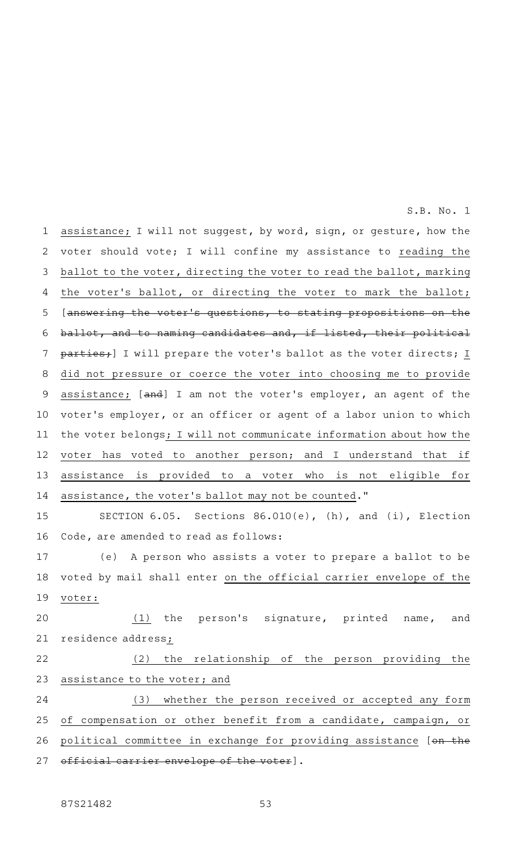assistance; I will not suggest, by word, sign, or gesture, how the voter should vote; I will confine my assistance to reading the ballot to the voter, directing the voter to read the ballot, marking the voter's ballot, or directing the voter to mark the ballot; [answering the voter 's questions, to stating propositions on the ballot, and to naming candidates and, if listed, their political parties; I will prepare the voter's ballot as the voter directs; I did not pressure or coerce the voter into choosing me to provide assistance; [and] I am not the voter's employer, an agent of the voter 's employer, or an officer or agent of a labor union to which the voter belongs; I will not communicate information about how the voter has voted to another person; and I understand that if assistance is provided to a voter who is not eligible for assistance, the voter 's ballot may not be counted." SECTION  $6.05.$  Sections  $86.010(e)$ , (h), and (i), Election Code, are amended to read as follows: (e) A person who assists a voter to prepare a ballot to be voted by mail shall enter on the official carrier envelope of the voter: (1) the person's signature, printed name, and residence address; (2) the relationship of the person providing the assistance to the voter; and (3) whether the person received or accepted any form 1 2 3 4 5 6 7 8 9 10 11 12 13 14 15 16 17 18 19 20 21 22 23 24

S.B. No. 1

of compensation or other benefit from a candidate, campaign, or political committee in exchange for providing assistance [on the official carrier envelope of the voter]. 25 26 27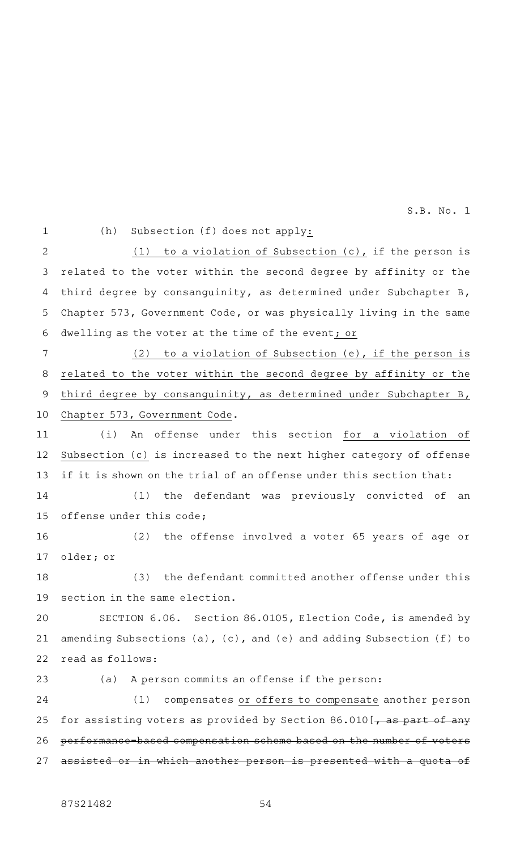1

(h) Subsection  $(f)$  does not apply:

(1) to a violation of Subsection  $(c)$ , if the person is related to the voter within the second degree by affinity or the third degree by consanguinity, as determined under Subchapter B, Chapter 573, Government Code, or was physically living in the same dwelling as the voter at the time of the event; or 2 3 4 5 6

(2) to a violation of Subsection (e), if the person is related to the voter within the second degree by affinity or the third degree by consanguinity, as determined under Subchapter B, Chapter 573, Government Code. 7 8 9 10

(i) An offense under this section for a violation of Subsection (c) is increased to the next higher category of offense if it is shown on the trial of an offense under this section that: 11 12 13

(1) the defendant was previously convicted of an offense under this code; 14 15

(2) the offense involved a voter 65 years of age or older; or 16 17

(3) the defendant committed another offense under this section in the same election. 18 19

SECTION 6.06. Section 86.0105, Election Code, is amended by amending Subsections (a), (c), and (e) and adding Subsection (f) to read as follows: 20 21 22

(a) A person commits an offense if the person: (1) compensates or offers to compensate another person for assisting voters as provided by Section 86.010 [ $\rightarrow$  as part of any performance-based compensation scheme based on the number of voters sisted or in which another person is presented with a quota 23 24 25 26 27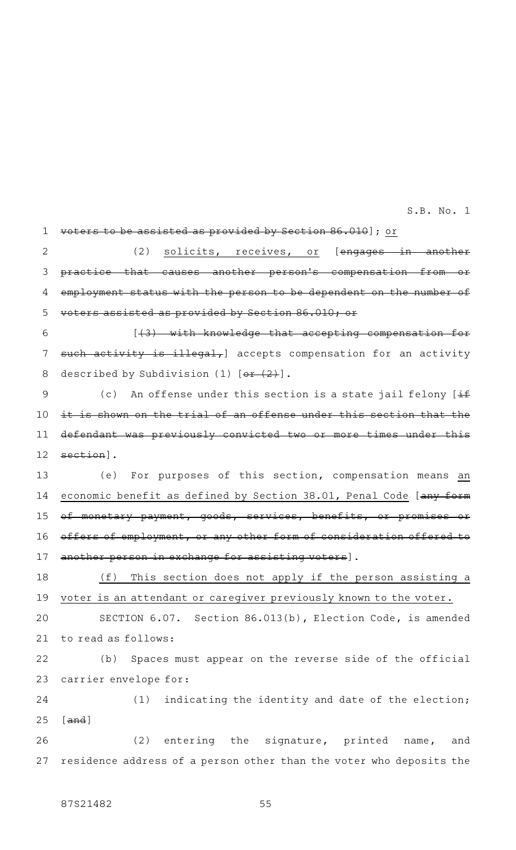voters to be assisted as provided by Section 86.010]; or (2) solicits, receives, or [<del>engages in another</del> practice that causes another person's compensation from employment status with the person to be dependent on the number of voters assisted as provided by Section 86.010; or [(3) with knowledge that accepting compensation for such activity is illegal, accepts compensation for an activity described by Subdivision (1)  $[0.2 + (2)]$ . (c) An offense under this section is a state jail felony  $[\pm \frac{1}{2}]$ it is shown on the trial of an offense under this section that the defendant was previously convicted two or more times under this section]. (e) For purposes of this section, compensation means an economic benefit as defined by Section 38.01, Penal Code [any form of monetary payment, goods, services, benefits, or promises offers of employment, or any other form of consideration offered to another person in exchange for assisting voters].  $(f)$  This section does not apply if the person assisting a voter is an attendant or caregiver previously known to the voter. SECTION 6.07. Section 86.013(b), Election Code, is amended to read as follows: (b) Spaces must appear on the reverse side of the official carrier envelope for: (1) indicating the identity and date of the election; [and] (2) entering the signature, printed name, and residence address of a person other than the voter who deposits the 1 2 3 4 5 6 7 8 9 10 11 12 13 14 15 16 17 18 19 20 21 22 23 24 25 26 27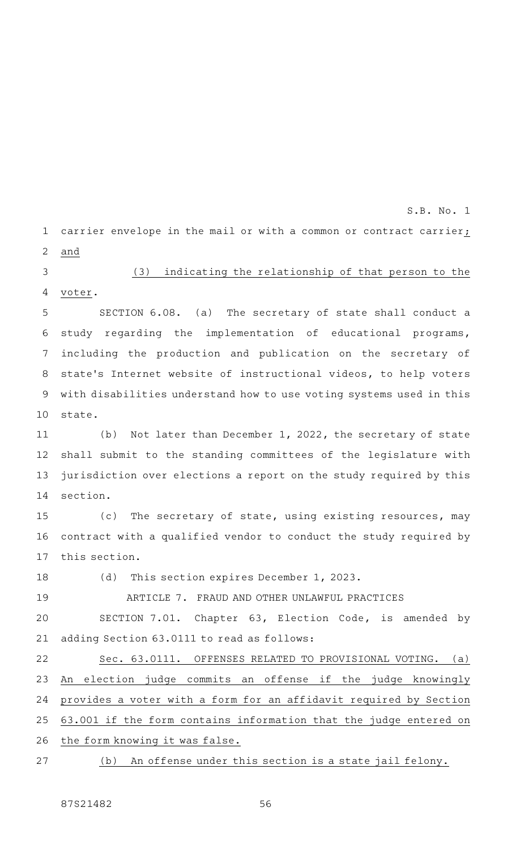carrier envelope in the mail or with a common or contract carrier; and 1 2

(3) indicating the relationship of that person to the voter. 3 4

SECTION 6.08. (a) The secretary of state shall conduct a study regarding the implementation of educational programs, including the production and publication on the secretary of state 's Internet website of instructional videos, to help voters with disabilities understand how to use voting systems used in this state. 5 6 7 8 9 10

(b) Not later than December 1, 2022, the secretary of state shall submit to the standing committees of the legislature with jurisdiction over elections a report on the study required by this section. 11 12 13 14

(c) The secretary of state, using existing resources, may contract with a qualified vendor to conduct the study required by this section. 15 16 17

(d) This section expires December 1, 2023. 18

ARTICLE 7. FRAUD AND OTHER UNLAWFUL PRACTICES SECTION 7.01. Chapter 63, Election Code, is amended by adding Section 63.0111 to read as follows: 19 20 21

Sec. 63.0111. OFFENSES RELATED TO PROVISIONAL VOTING. (a) An election judge commits an offense if the judge knowingly provides a voter with a form for an affidavit required by Section 63.001 if the form contains information that the judge entered on the form knowing it was false. 22 23 24 25 26

(b) An offense under this section is a state jail felony. 27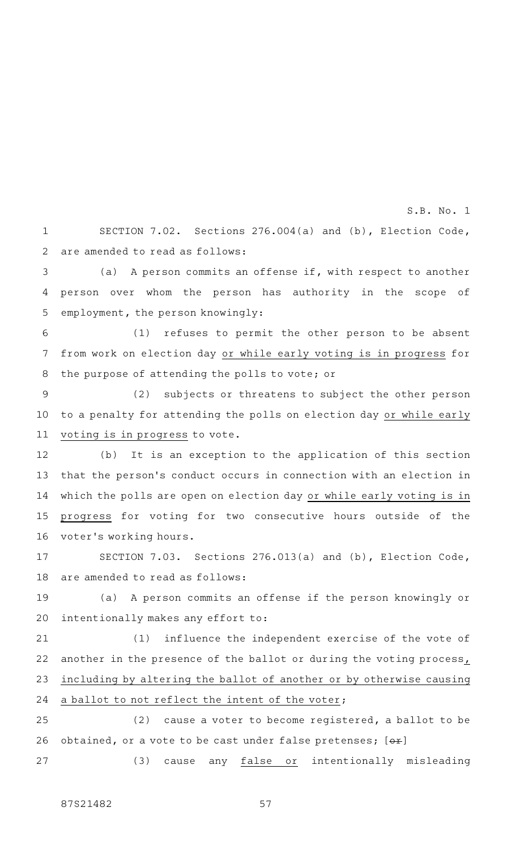SECTION 7.02. Sections 276.004(a) and (b), Election Code, are amended to read as follows: 1 2

S.B. No. 1

(a) A person commits an offense if, with respect to another person over whom the person has authority in the scope of employment, the person knowingly: 3 4 5

(1) refuses to permit the other person to be absent from work on election day or while early voting is in progress for the purpose of attending the polls to vote; or 6 7 8

(2) subjects or threatens to subject the other person to a penalty for attending the polls on election day or while early voting is in progress to vote. 9 10 11

(b) It is an exception to the application of this section that the person 's conduct occurs in connection with an election in which the polls are open on election day or while early voting is in progress for voting for two consecutive hours outside of the voter 's working hours. 12 13 14 15 16

SECTION 7.03. Sections 276.013(a) and (b), Election Code, are amended to read as follows: 17 18

(a) A person commits an offense if the person knowingly or intentionally makes any effort to: 19 20

(1) influence the independent exercise of the vote of another in the presence of the ballot or during the voting process, including by altering the ballot of another or by otherwise causing a ballot to not reflect the intent of the voter; 21 22 23 24

 $(2)$  cause a voter to become registered, a ballot to be obtained, or a vote to be cast under false pretenses;  $[+]$ 25 26

(3) cause any false or intentionally misleading 27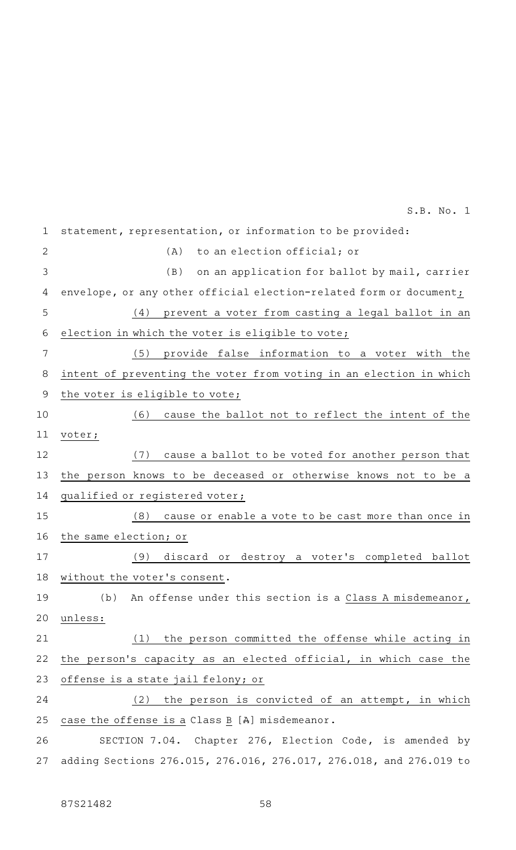| $\mathbf 1$    | statement, representation, or information to be provided:          |
|----------------|--------------------------------------------------------------------|
| $\overline{2}$ | to an election official; or<br>(A)                                 |
| 3              | (B)<br>on an application for ballot by mail, carrier               |
| 4              | envelope, or any other official election-related form or document; |
| 5              | prevent a voter from casting a legal ballot in an<br>(4)           |
| 6              | election in which the voter is eligible to vote;                   |
| 7              | (5)<br>provide false information to a voter with the               |
| 8              | intent of preventing the voter from voting in an election in which |
| $\mathcal{G}$  | the voter is eligible to vote;                                     |
| 10             | cause the ballot not to reflect the intent of the<br>(6)           |
| 11             | voter;                                                             |
| 12             | (7)<br>cause a ballot to be voted for another person that          |
| 13             | the person knows to be deceased or otherwise knows not to be a     |
| 14             | qualified or registered voter;                                     |
| 15             | (8)<br>cause or enable a vote to be cast more than once in         |
| 16             | the same election; or                                              |
| 17             | (9)<br>discard or destroy a voter's completed ballot               |
| 18             | without the voter's consent.                                       |
| 19             | (b) An offense under this section is a Class A misdemeanor,        |
| 20             | unless:                                                            |
| 21             | the person committed the offense while acting in<br>(1)            |
| 22             | the person's capacity as an elected official, in which case the    |
| 23             | offense is a state jail felony; or                                 |
| 24             | the person is convicted of an attempt, in which<br>(2)             |
| 25             | case the offense is a Class B [A] misdemeanor.                     |
| 26             | SECTION 7.04. Chapter 276, Election Code, is amended by            |
| 27             | adding Sections 276.015, 276.016, 276.017, 276.018, and 276.019 to |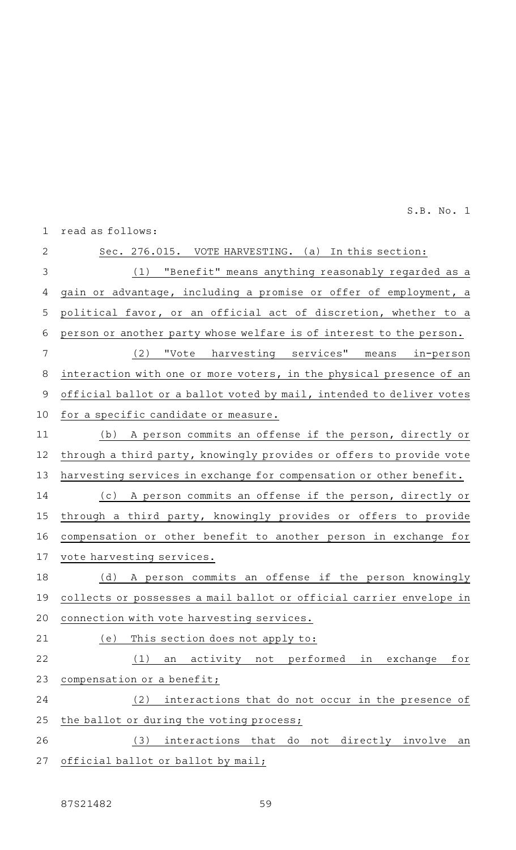read as follows: 1

| $\overline{2}$ | Sec. 276.015. VOTE HARVESTING. (a) In this section:                  |
|----------------|----------------------------------------------------------------------|
| 3              | (1) "Benefit" means anything reasonably regarded as a                |
| 4              | gain or advantage, including a promise or offer of employment, a     |
| 5              | political favor, or an official act of discretion, whether to a      |
| $\sqrt{6}$     | person or another party whose welfare is of interest to the person.  |
| 7              | (2) "Vote harvesting services" means in-person                       |
| 8              | interaction with one or more voters, in the physical presence of an  |
| 9              | official ballot or a ballot voted by mail, intended to deliver votes |
| 10             | for a specific candidate or measure.                                 |
| 11             | (b) A person commits an offense if the person, directly or           |
| 12             | through a third party, knowingly provides or offers to provide vote  |
| 13             | harvesting services in exchange for compensation or other benefit.   |
| 14             | (c) A person commits an offense if the person, directly or           |
| 15             | through a third party, knowingly provides or offers to provide       |
| 16             | compensation or other benefit to another person in exchange for      |
| 17             | vote harvesting services.                                            |
| 18             | (d) A person commits an offense if the person knowingly              |
| 19             | collects or possesses a mail ballot or official carrier envelope in  |
| 20             | connection with vote harvesting services.                            |
| 21             | This section does not apply to:<br>(e)                               |
| 22             | (1)<br>activity not performed<br>in exchange<br>for<br>an            |
| 23             | compensation or a benefit;                                           |
| 24             | (2)<br>interactions that do not occur in the presence of             |
| 25             | the ballot or during the voting process;                             |
| 26             | interactions that do not directly involve<br>(3)<br>an               |
| 27             | official ballot or ballot by mail;                                   |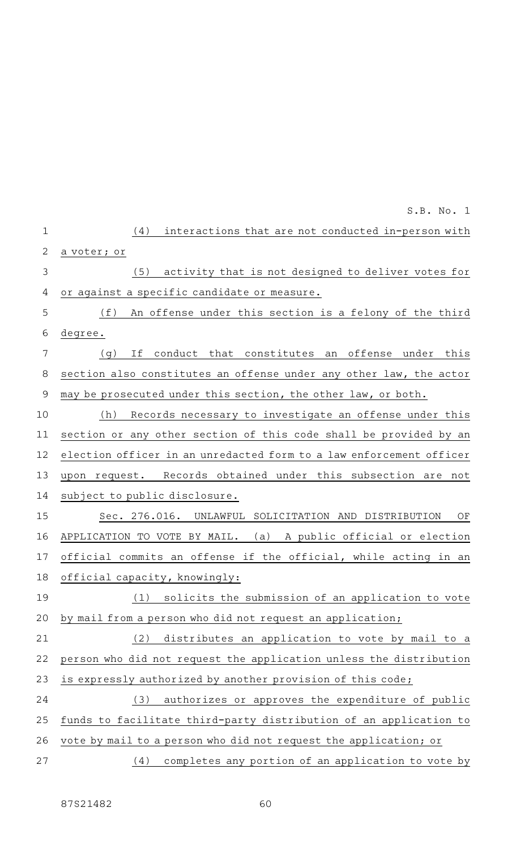|                | S.B. No. 1                                                          |
|----------------|---------------------------------------------------------------------|
| $\mathbf{1}$   | interactions that are not conducted in-person with<br>(4)           |
| 2              | a voter; or                                                         |
| $\mathfrak{Z}$ | (5)<br>activity that is not designed to deliver votes for           |
| 4              | or against a specific candidate or measure.                         |
| 5              | (f)<br>An offense under this section is a felony of the third       |
| 6              | degree.                                                             |
| 7              | conduct that constitutes an offense under this<br>If<br>(g)         |
| 8              | section also constitutes an offense under any other law, the actor  |
| $\mathcal{G}$  | may be prosecuted under this section, the other law, or both.       |
| 10             | Records necessary to investigate an offense under this<br>(h)       |
| 11             | section or any other section of this code shall be provided by an   |
| 12             | election officer in an unredacted form to a law enforcement officer |
| 13             | upon request. Records obtained under this subsection are not        |
| 14             | subject to public disclosure.                                       |
| 15             | Sec. 276.016. UNLAWFUL SOLICITATION AND DISTRIBUTION<br>OF          |
| 16             | (a) A public official or election<br>APPLICATION TO VOTE BY MAIL.   |
| 17             | official commits an offense if the official, while acting in an     |
| 18             | official capacity, knowingly:                                       |
| 19             | solicits the submission of an application to vote<br>(1)            |
| 20             | by mail from a person who did not request an application;           |
| 21             | (2) distributes an application to vote by mail to a                 |
| 22             | person who did not request the application unless the distribution  |
| 23             | is expressly authorized by another provision of this code;          |
| 24             | authorizes or approves the expenditure of public<br>(3)             |
| 25             | funds to facilitate third-party distribution of an application to   |
| 26             | vote by mail to a person who did not request the application; or    |
| 27             | completes any portion of an application to vote by<br>(4)           |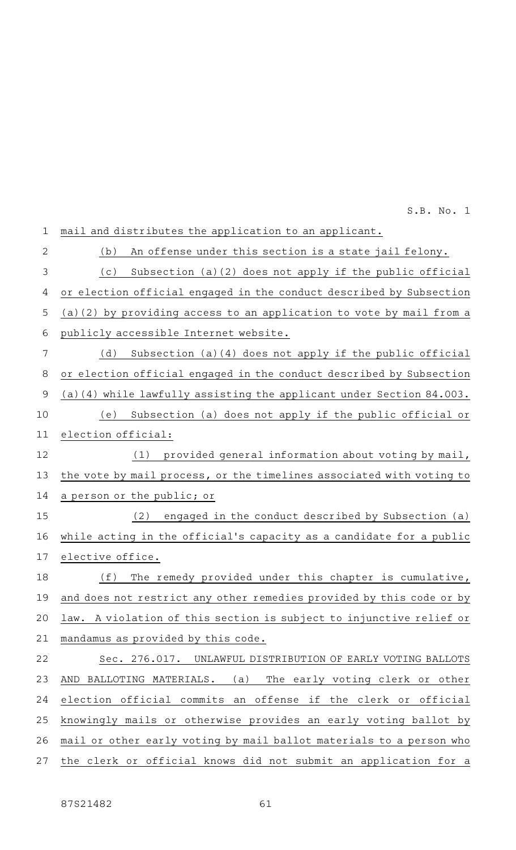mail and distributes the application to an applicant. (b) An offense under this section is a state jail felony. (c) Subsection (a)(2) does not apply if the public official or election official engaged in the conduct described by Subsection (a)(2) by providing access to an application to vote by mail from a publicly accessible Internet website. (d) Subsection (a)(4) does not apply if the public official or election official engaged in the conduct described by Subsection (a)(4) while lawfully assisting the applicant under Section 84.003. (e) Subsection (a) does not apply if the public official or election official: (1) provided general information about voting by mail, the vote by mail process, or the timelines associated with voting to a person or the public; or (2) engaged in the conduct described by Subsection (a) while acting in the official 's capacity as a candidate for a public elective office. (f) The remedy provided under this chapter is cumulative, and does not restrict any other remedies provided by this code or by law. A violation of this section is subject to injunctive relief or mandamus as provided by this code. Sec. 276.017. UNLAWFUL DISTRIBUTION OF EARLY VOTING BALLOTS AND BALLOTING MATERIALS. (a) The early voting clerk or other election official commits an offense if the clerk or official knowingly mails or otherwise provides an early voting ballot by mail or other early voting by mail ballot materials to a person who the clerk or official knows did not submit an application for a 1 2 3 4 5 6 7 8 9 10 11 12 13 14 15 16 17 18 19 20 21 22 23 24 25 26 27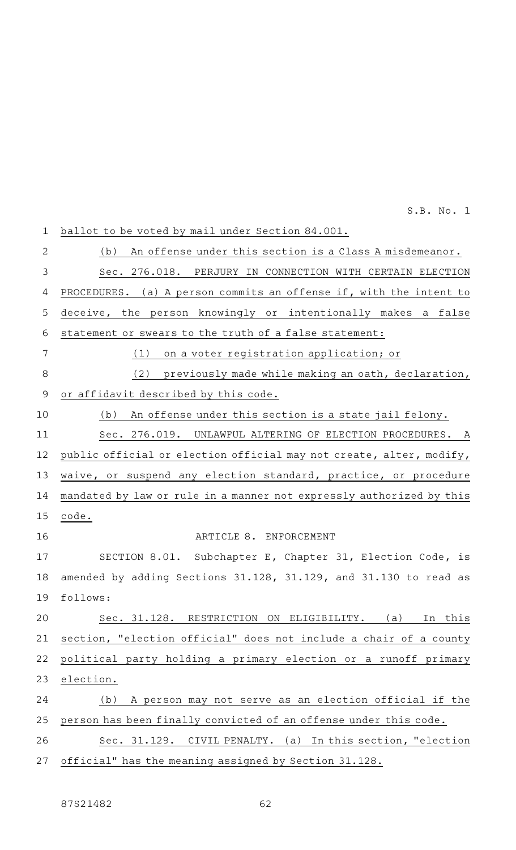ballot to be voted by mail under Section 84.001. (b) An offense under this section is a Class A misdemeanor. Sec. 276.018. PERJURY IN CONNECTION WITH CERTAIN ELECTION PROCEDURES. (a) A person commits an offense if, with the intent to deceive, the person knowingly or intentionally makes a false statement or swears to the truth of a false statement:  $(1)$  on a voter registration application; or (2) previously made while making an oath, declaration, or affidavit described by this code. (b) An offense under this section is a state jail felony. Sec. 276.019. UNLAWFUL ALTERING OF ELECTION PROCEDURES. A public official or election official may not create, alter, modify, waive, or suspend any election standard, practice, or procedure mandated by law or rule in a manner not expressly authorized by this code. ARTICLE 8. ENFORCEMENT SECTION 8.01. Subchapter E, Chapter 31, Election Code, is amended by adding Sections 31.128, 31.129, and 31.130 to read as follows: Sec. 31.128. RESTRICTION ON ELIGIBILITY. (a) In this section, "election official" does not include a chair of a county political party holding a primary election or a runoff primary election. (b) A person may not serve as an election official if the person has been finally convicted of an offense under this code. Sec. 31.129. CIVIL PENALTY. (a) In this section, "election official" has the meaning assigned by Section 31.128. 1 2 3 4 5 6 7 8 9 10 11 12 13 14 15 16 17 18 19 20 21 22 23 24 25 26 27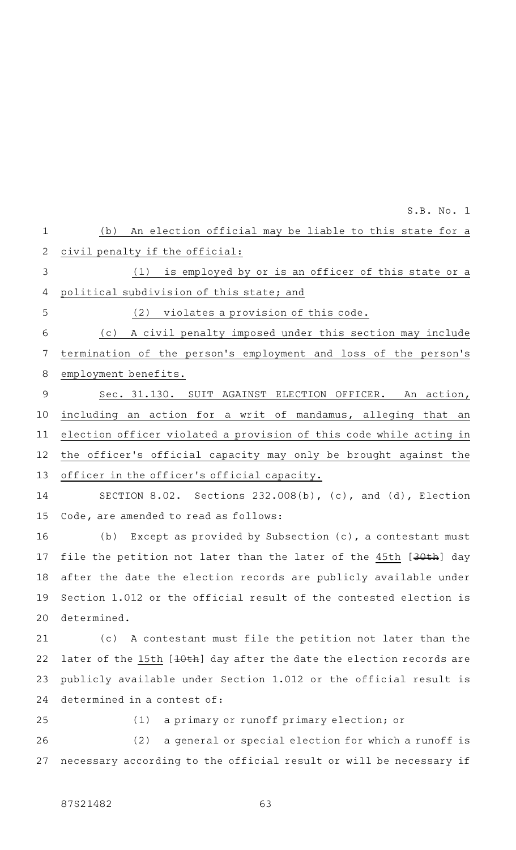(b) An election official may be liable to this state for a civil penalty if the official: (1) is employed by or is an officer of this state or a political subdivision of this state; and  $(2)$  violates a provision of this code. (c) A civil penalty imposed under this section may include termination of the person 's employment and loss of the person 's employment benefits. Sec. 31.130. SUIT AGAINST ELECTION OFFICER. An action, including an action for a writ of mandamus, alleging that an election officer violated a provision of this code while acting in the officer 's official capacity may only be brought against the officer in the officer's official capacity. SECTION 8.02. Sections  $232.008(b)$ , (c), and (d), Election Code, are amended to read as follows: (b) Except as provided by Subsection  $(c)$ , a contestant must file the petition not later than the later of the 45th [30th] day after the date the election records are publicly available under Section 1.012 or the official result of the contested election is determined. (c) A contestant must file the petition not later than the later of the 15th [10th] day after the date the election records are publicly available under Section 1.012 or the official result is determined in a contest of: (1) a primary or runoff primary election; or (2) a general or special election for which a runoff is necessary according to the official result or will be necessary if 1 2 3 4 5 6 7 8 9 10 11 12 13 14 15 16 17 18 19 20 21 22 23 24 25 26 27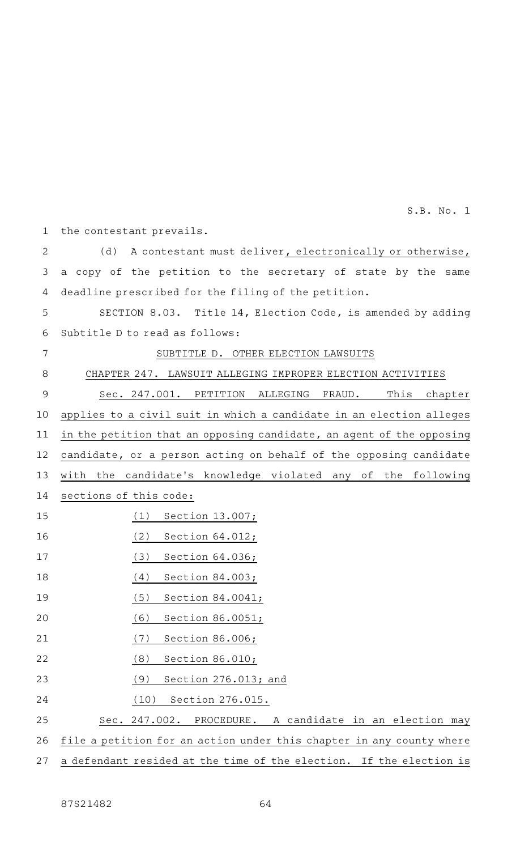the contestant prevails. 1

(d) A contestant must deliver, electronically or otherwise, a copy of the petition to the secretary of state by the same deadline prescribed for the filing of the petition. 2 3 4

SECTION 8.03. Title 14, Election Code, is amended by adding Subtitle D to read as follows: 5 6

7

# SUBTITLE D. OTHER ELECTION LAWSUITS

CHAPTER 247. LAWSUIT ALLEGING IMPROPER ELECTION ACTIVITIES 8

Sec. 247.001. PETITION ALLEGING FRAUD. This chapter applies to a civil suit in which a candidate in an election alleges in the petition that an opposing candidate, an agent of the opposing candidate, or a person acting on behalf of the opposing candidate with the candidate's knowledge violated any of the following sections of this code: 9 10 11 12 13 14

- $(1)$  Section 13.007; 15
- $(2)$  Section 64.012; 16
- $(3)$  Section 64.036; 17
- $(4)$  Section 84.003; 18
- $(5)$  Section 84.0041; 19
- (6) Section 86.0051; 20
- (7) Section 86.006; 21
- $(8)$  Section 86.010; 22
- (9) Section 276.013; and 23
- (10) Section 276.015. 24

Sec. 247.002. PROCEDURE. A candidate in an election may 25

file a petition for an action under this chapter in any county where 26

a defendant resided at the time of the election. If the election is 27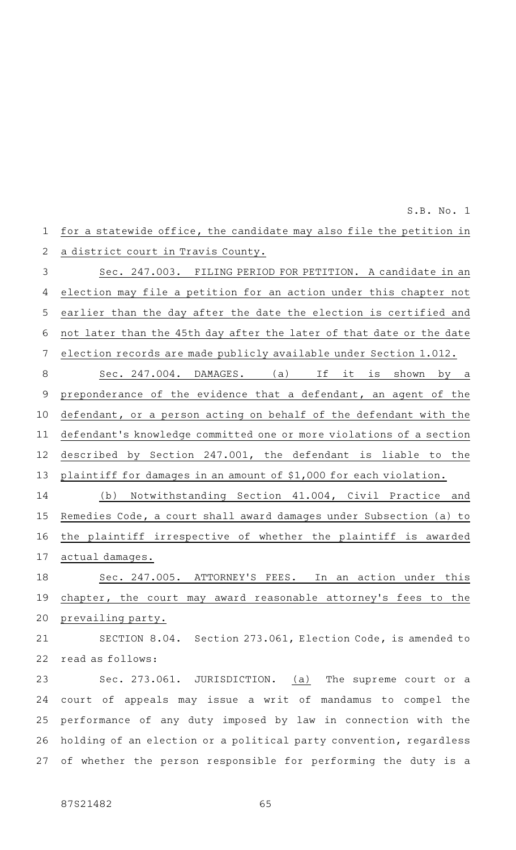| $\mathbf{1}$ | for a statewide office, the candidate may also file the petition in  |
|--------------|----------------------------------------------------------------------|
| 2            | a district court in Travis County.                                   |
| 3            | Sec. 247.003. FILING PERIOD FOR PETITION. A candidate in an          |
| 4            | election may file a petition for an action under this chapter not    |
| 5            | earlier than the day after the date the election is certified and    |
| 6            | not later than the 45th day after the later of that date or the date |
| 7            | election records are made publicly available under Section 1.012.    |
| $\,8\,$      | Sec. 247.004. DAMAGES. (a) If it is shown by a                       |
| $\mathsf 9$  | preponderance of the evidence that a defendant, an agent of the      |
| 10           | defendant, or a person acting on behalf of the defendant with the    |
| 11           | defendant's knowledge committed one or more violations of a section  |
| 12           | described by Section 247.001, the defendant is liable to the         |
| 13           | plaintiff for damages in an amount of \$1,000 for each violation.    |
| 14           | Notwithstanding Section 41.004, Civil Practice and<br>(b)            |
| 15           | Remedies Code, a court shall award damages under Subsection (a) to   |
| 16           | the plaintiff irrespective of whether the plaintiff is awarded       |
| 17           | actual damages.                                                      |
| 18           | Sec. 247.005. ATTORNEY'S FEES.<br>In<br>action under this<br>an      |
| 19           | chapter, the court may award reasonable attorney's fees to the       |
| 20           | prevailing party.                                                    |
| 21           | SECTION 8.04. Section 273.061, Election Code, is amended to          |
| 22           | read as follows:                                                     |
| 23           | Sec. 273.061. JURISDICTION. (a) The supreme court or a               |
| 24           | court of appeals may issue a writ of mandamus to compel the          |
| 25           | performance of any duty imposed by law in connection with the        |
| 26           | holding of an election or a political party convention, regardless   |
| 27           | of whether the person responsible for performing the duty is a       |
|              |                                                                      |
|              |                                                                      |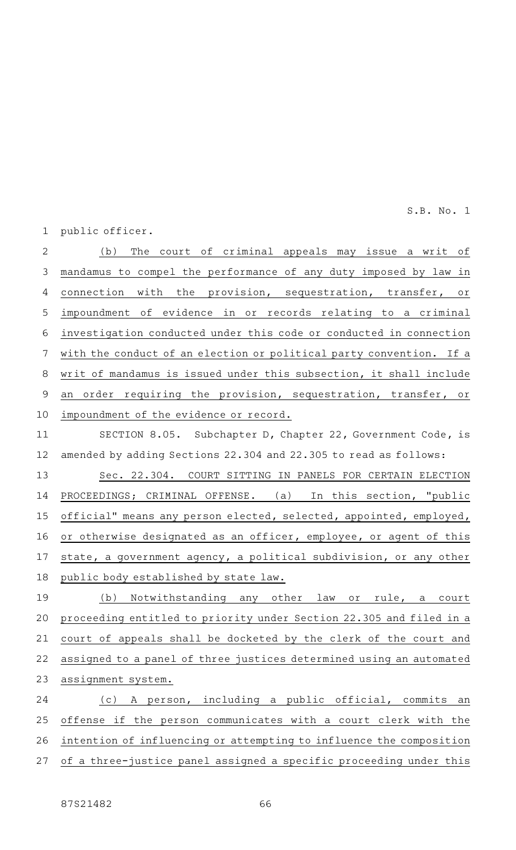public officer. 1

(b) The court of criminal appeals may issue a writ of mandamus to compel the performance of any duty imposed by law in connection with the provision, sequestration, transfer, or impoundment of evidence in or records relating to a criminal investigation conducted under this code or conducted in connection with the conduct of an election or political party convention. If a writ of mandamus is issued under this subsection, it shall include an order requiring the provision, sequestration, transfer, or impoundment of the evidence or record. 2 3 4 5 6 7 8 9 10

SECTION 8.05. Subchapter D, Chapter 22, Government Code, is amended by adding Sections 22.304 and 22.305 to read as follows: 11 12

Sec. 22.304. COURT SITTING IN PANELS FOR CERTAIN ELECTION PROCEEDINGS; CRIMINAL OFFENSE. (a) In this section, "public official" means any person elected, selected, appointed, employed, or otherwise designated as an officer, employee, or agent of this state, a government agency, a political subdivision, or any other public body established by state law. 13 14 15 16 17 18

(b) Notwithstanding any other law or rule, a court proceeding entitled to priority under Section 22.305 and filed in a court of appeals shall be docketed by the clerk of the court and assigned to a panel of three justices determined using an automated assignment system. 19 20 21 22 23

(c)AAA person, including a public official, commits an offense if the person communicates with a court clerk with the intention of influencing or attempting to influence the composition of a three-justice panel assigned a specific proceeding under this 24 25 26 27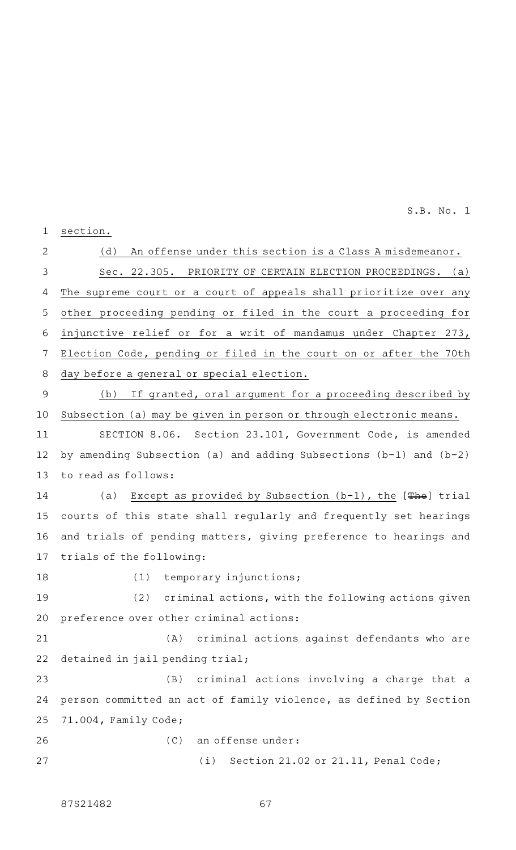section. 1

(d) An offense under this section is a Class A misdemeanor. Sec. 22.305. PRIORITY OF CERTAIN ELECTION PROCEEDINGS. (a) The supreme court or a court of appeals shall prioritize over any other proceeding pending or filed in the court a proceeding for injunctive relief or for a writ of mandamus under Chapter 273, Election Code, pending or filed in the court on or after the 70th day before a general or special election. 2 3 4 5 6 7 8

(b) If granted, oral argument for a proceeding described by Subsection (a) may be given in person or through electronic means. 9 10

SECTION 8.06. Section 23.101, Government Code, is amended by amending Subsection (a) and adding Subsections (b-1) and (b-2) to read as follows: 11 12 13

(a) Except as provided by Subsection  $(b-1)$ , the  $[The]$  trial courts of this state shall regularly and frequently set hearings and trials of pending matters, giving preference to hearings and trials of the following: 14 15 16 17

18

(1) temporary injunctions;

 $(2)$  criminal actions, with the following actions given preference over other criminal actions: 19 20

(A) criminal actions against defendants who are detained in jail pending trial; 21 22

 $(B)$  criminal actions involving a charge that a person committed an act of family violence, as defined by Section 71.004, Family Code; 23 24 25

(C) an offense under: 26

 $(i)$  Section 21.02 or 21.11, Penal Code; 27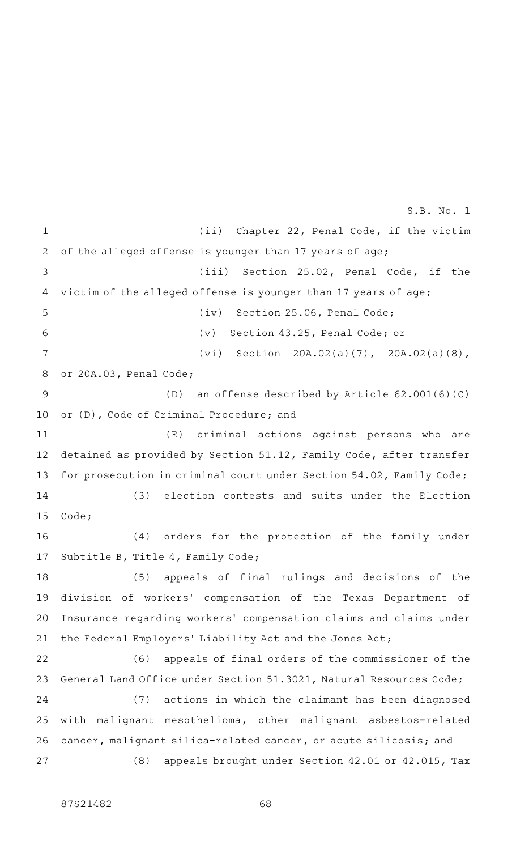(ii) Chapter 22, Penal Code, if the victim of the alleged offense is younger than 17 years of age;  $(iii)$  Section 25.02, Penal Code, if the victim of the alleged offense is younger than 17 years of age; (iv) Section 25.06, Penal Code; (v) Section 43.25, Penal Code; or  $(vi)$  Section 20A.02(a)(7), 20A.02(a)(8), or 20A.03, Penal Code;  $(D)$  an offense described by Article 62.001(6)(C) or (D), Code of Criminal Procedure; and (E) criminal actions against persons who are detained as provided by Section 51.12, Family Code, after transfer for prosecution in criminal court under Section 54.02, Family Code; (3) election contests and suits under the Election Code; (4) orders for the protection of the family under Subtitle B, Title 4, Family Code; (5) appeals of final rulings and decisions of the division of workers' compensation of the Texas Department of Insurance regarding workers' compensation claims and claims under the Federal Employers' Liability Act and the Jones Act; (6) appeals of final orders of the commissioner of the General Land Office under Section 51.3021, Natural Resources Code; (7) actions in which the claimant has been diagnosed with malignant mesothelioma, other malignant asbestos-related cancer, malignant silica-related cancer, or acute silicosis; and (8) appeals brought under Section 42.01 or 42.015, Tax 1 2 3 4 5 6 7 8 9 10 11 12 13 14 15 16 17 18 19 20 21 22 23 24 25 26 27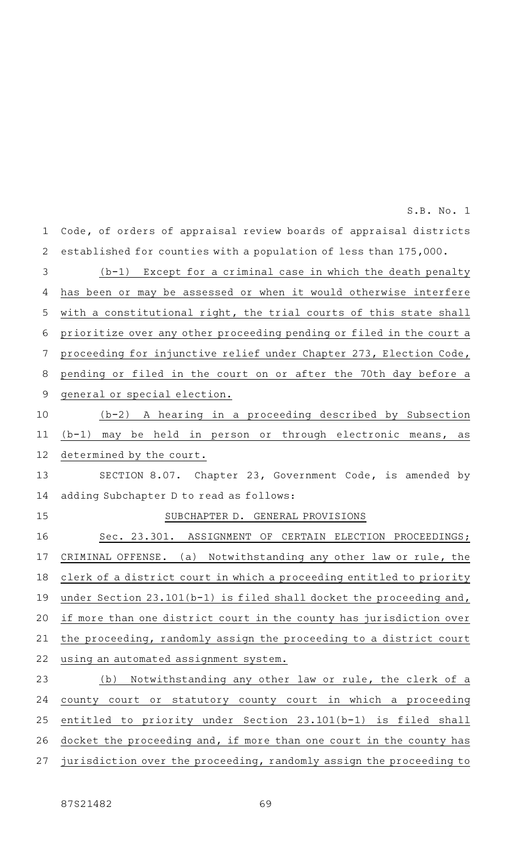Code, of orders of appraisal review boards of appraisal districts established for counties with a population of less than 175,000.  $(b-1)$  Except for a criminal case in which the death penalty has been or may be assessed or when it would otherwise interfere with a constitutional right, the trial courts of this state shall prioritize over any other proceeding pending or filed in the court a proceeding for injunctive relief under Chapter 273, Election Code, pending or filed in the court on or after the 70th day before a general or special election. (b-2)AAA hearing in a proceeding described by Subsection (b-1) may be held in person or through electronic means, as determined by the court. SECTION 8.07. Chapter 23, Government Code, is amended by adding Subchapter D to read as follows: SUBCHAPTER D. GENERAL PROVISIONS Sec. 23.301. ASSIGNMENT OF CERTAIN ELECTION PROCEEDINGS; CRIMINAL OFFENSE. (a) Notwithstanding any other law or rule, the clerk of a district court in which a proceeding entitled to priority under Section 23.101(b-1) is filed shall docket the proceeding and, if more than one district court in the county has jurisdiction over the proceeding, randomly assign the proceeding to a district court using an automated assignment system. (b) Notwithstanding any other law or rule, the clerk of a county court or statutory county court in which a proceeding entitled to priority under Section 23.101(b-1) is filed shall 1 2 3 4 5 6 7 8 9 10 11 12 13 14 15 16 17 18 19 20 21 22 23 24 25

S.B. No. 1

docket the proceeding and, if more than one court in the county has jurisdiction over the proceeding, randomly assign the proceeding to 26 27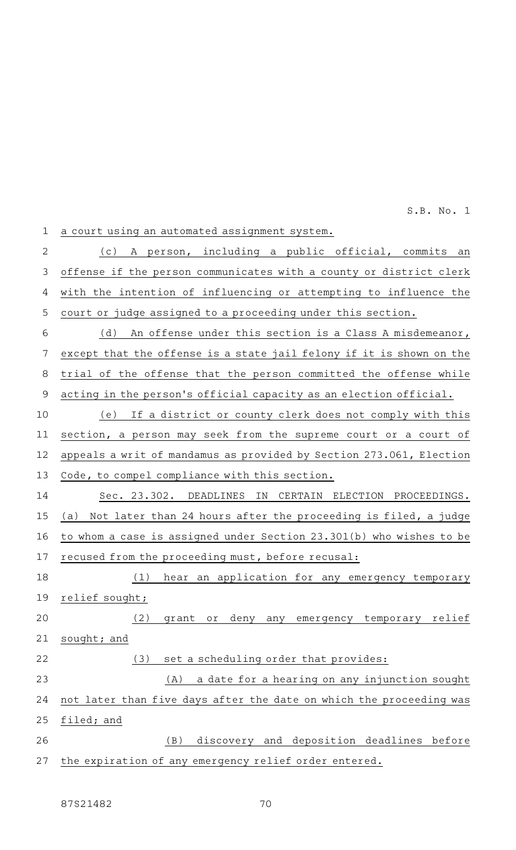offense if the person communicates with a county or district clerk 3 2 4 5 6 7

| 4  | with the intention of influencing or attempting to influence the     |
|----|----------------------------------------------------------------------|
| 5  | court or judge assigned to a proceeding under this section.          |
| 6  | (d)<br>An offense under this section is a Class A misdemeanor,       |
| 7  | except that the offense is a state jail felony if it is shown on the |
| 8  | trial of the offense that the person committed the offense while     |
| 9  | acting in the person's official capacity as an election official.    |
| 10 | (e)<br>If a district or county clerk does not comply with this       |
| 11 | section, a person may seek from the supreme court or a court of      |
| 12 | appeals a writ of mandamus as provided by Section 273.061, Election  |
| 13 | Code, to compel compliance with this section.                        |
| 14 | Sec. 23.302. DEADLINES<br>IN CERTAIN ELECTION PROCEEDINGS.           |
| 15 | (a) Not later than 24 hours after the proceeding is filed, a judge   |
| 16 | to whom a case is assigned under Section 23.301(b) who wishes to be  |
| 17 | recused from the proceeding must, before recusal:                    |
| 18 | (1)<br>hear an application for any emergency temporary               |
| 19 | relief sought;                                                       |
| 20 | grant or deny any emergency temporary relief<br>(2)                  |
| 21 | sought; and                                                          |
| 22 | (3) set a scheduling order that provides:                            |
| 23 | a date for a hearing on any injunction sought<br>(A)                 |
| 24 | not later than five days after the date on which the proceeding was  |
| 25 | filed; and                                                           |
| 26 | discovery and deposition deadlines before<br>(B)                     |
| 27 | the expiration of any emergency relief order entered.                |
|    |                                                                      |

(c) A person, including a public official, commits an

a court using an automated assignment system. 1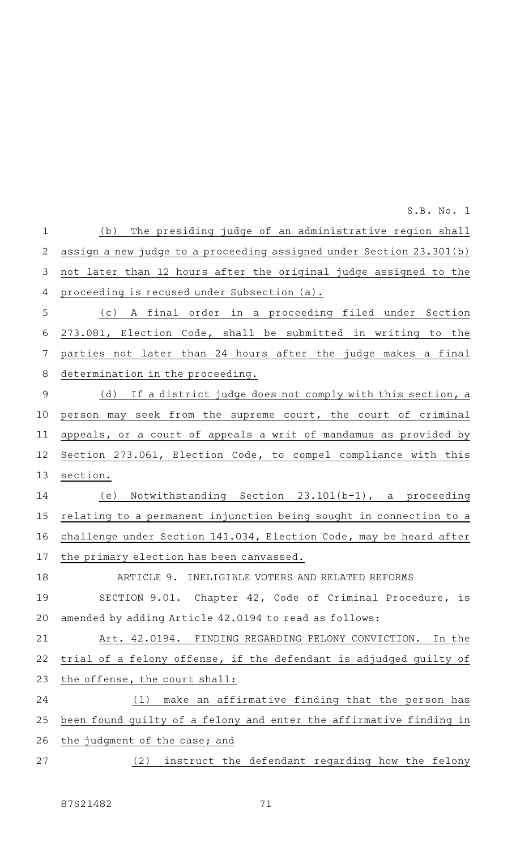(b) The presiding judge of an administrative region shall assign a new judge to a proceeding assigned under Section 23.301(b) not later than 12 hours after the original judge assigned to the proceeding is recused under Subsection (a). (c)AAA final order in a proceeding filed under Section 273.081, Election Code, shall be submitted in writing to the parties not later than 24 hours after the judge makes a final determination in the proceeding. (d) If a district judge does not comply with this section, a person may seek from the supreme court, the court of criminal appeals, or a court of appeals a writ of mandamus as provided by Section 273.061, Election Code, to compel compliance with this section. (e) Notwithstanding Section  $23.101(b-1)$ , a proceeding relating to a permanent injunction being sought in connection to a challenge under Section 141.034, Election Code, may be heard after the primary election has been canvassed. ARTICLE 9. INELIGIBLE VOTERS AND RELATED REFORMS SECTION 9.01. Chapter 42, Code of Criminal Procedure, is amended by adding Article 42.0194 to read as follows: Art. 42.0194. FINDING REGARDING FELONY CONVICTION. In the trial of a felony offense, if the defendant is adjudged guilty of the offense, the court shall:  $(1)$  make an affirmative finding that the person has been found guilty of a felony and enter the affirmative finding in the judgment of the case; and (2) instruct the defendant regarding how the felony 1 2 3 4 5 6 7 8 9 10 11 12 13 14 15 16 17 18 19 20 21 22 23 24 25 26 27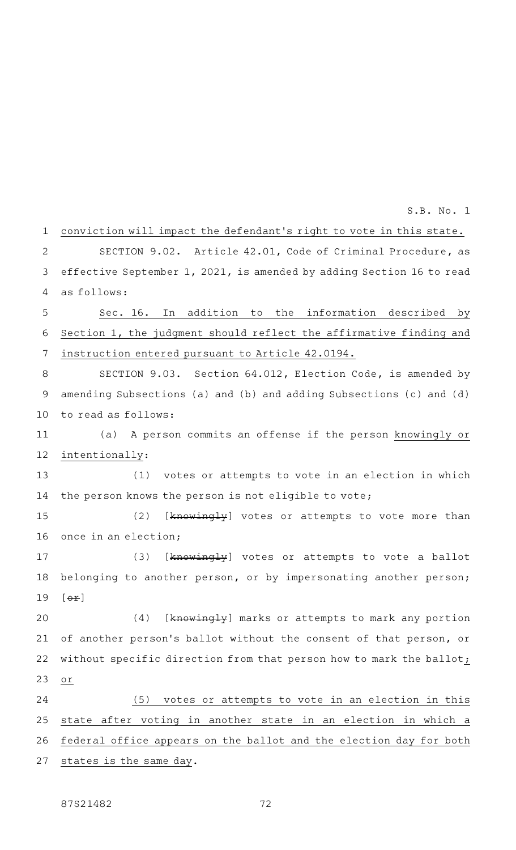| $\mathbf 1$ | conviction will impact the defendant's right to vote in this state.   |
|-------------|-----------------------------------------------------------------------|
| 2           | SECTION 9.02. Article 42.01, Code of Criminal Procedure, as           |
| 3           | effective September 1, 2021, is amended by adding Section 16 to read  |
| 4           | as follows:                                                           |
| 5           | Sec. 16. In addition to the information described by                  |
| 6           | Section 1, the judgment should reflect the affirmative finding and    |
| 7           | instruction entered pursuant to Article 42.0194.                      |
| 8           | SECTION 9.03. Section 64.012, Election Code, is amended by            |
| 9           | amending Subsections (a) and (b) and adding Subsections (c) and $(d)$ |
| 10          | to read as follows:                                                   |
| 11          | (a) A person commits an offense if the person knowingly or            |
| 12          | intentionally:                                                        |
| 13          | (1) votes or attempts to vote in an election in which                 |
| 14          | the person knows the person is not eligible to vote;                  |
| 15          | (2)<br>[knowingly] votes or attempts to vote more than                |
| 16          | once in an election;                                                  |
| 17          | (3)<br>[knowingly] votes or attempts to vote a ballot                 |
| 18          | belonging to another person, or by impersonating another person;      |
|             | 19 $[\theta + \theta]$                                                |
| 20          | (4)<br>[knowingly] marks or attempts to mark any portion              |
| 21          | of another person's ballot without the consent of that person, or     |
| 22          | without specific direction from that person how to mark the ballot;   |
| 23          | O <sub>T</sub>                                                        |
| 24          | votes or attempts to vote in an election in this<br>(5)               |
| 25          | state after voting in another state in an election in which a         |
| 26          | federal office appears on the ballot and the election day for both    |
| 27          | states is the same day.                                               |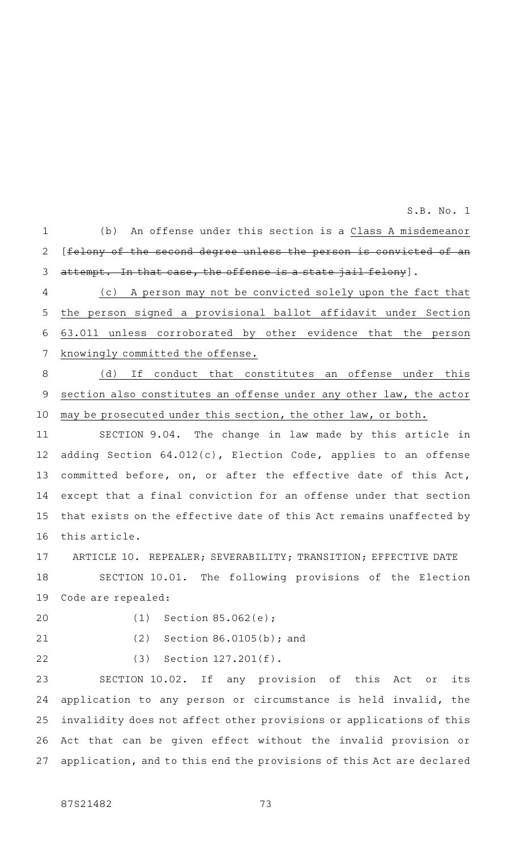S.B. No. 1

(b) An offense under this section is a Class A misdemeanor [felony of the second degree unless the person is convicted of an attempt. In that case, the offense is a state jail felony]. 1 2 3

(c) A person may not be convicted solely upon the fact that the person signed a provisional ballot affidavit under Section 63.011 unless corroborated by other evidence that the person knowingly committed the offense. 4 5 6 7

(d) If conduct that constitutes an offense under this section also constitutes an offense under any other law, the actor may be prosecuted under this section, the other law, or both. 8 9 10

SECTION 9.04. The change in law made by this article in adding Section 64.012(c), Election Code, applies to an offense committed before, on, or after the effective date of this Act, except that a final conviction for an offense under that section that exists on the effective date of this Act remains unaffected by this article. 11 12 13 14 15 16

ARTICLE 10. REPEALER; SEVERABILITY; TRANSITION; EFFECTIVE DATE 17

SECTION 10.01. The following provisions of the Election Code are repealed: 18 19

20

(1) Section  $85.062(e)$ ;

21

22

(2) Section  $86.0105(b)$ ; and

 $(3)$  Section 127.201 $(f)$ .

SECTION 10.02. If any provision of this Act or its application to any person or circumstance is held invalid, the invalidity does not affect other provisions or applications of this Act that can be given effect without the invalid provision or application, and to this end the provisions of this Act are declared 23 24 25 26 27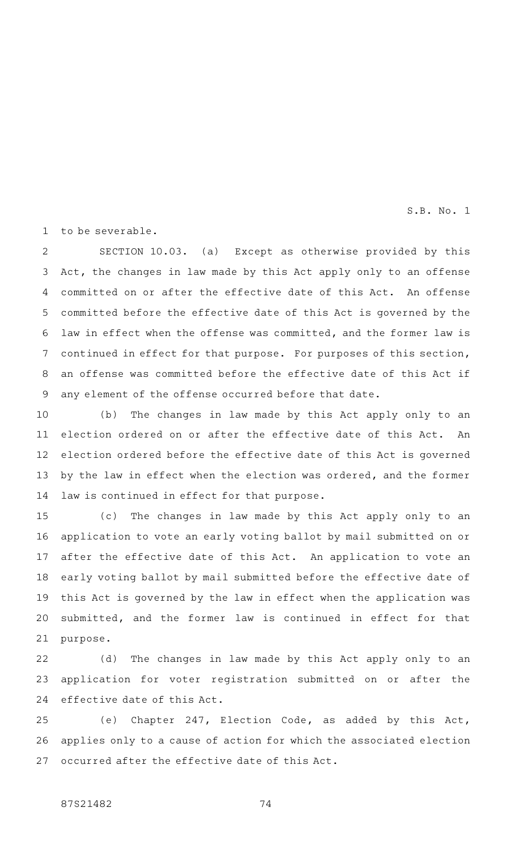S.B. No. 1

to be severable. 1

SECTION 10.03. (a) Except as otherwise provided by this Act, the changes in law made by this Act apply only to an offense committed on or after the effective date of this Act. An offense committed before the effective date of this Act is governed by the law in effect when the offense was committed, and the former law is continued in effect for that purpose. For purposes of this section, an offense was committed before the effective date of this Act if any element of the offense occurred before that date. 2 3 4 5 6 7 8 9

(b) The changes in law made by this Act apply only to an election ordered on or after the effective date of this Act. An election ordered before the effective date of this Act is governed by the law in effect when the election was ordered, and the former law is continued in effect for that purpose. 10 11 12 13 14

(c) The changes in law made by this Act apply only to an application to vote an early voting ballot by mail submitted on or after the effective date of this Act. An application to vote an early voting ballot by mail submitted before the effective date of this Act is governed by the law in effect when the application was submitted, and the former law is continued in effect for that purpose. 15 16 17 18 19 20 21

(d) The changes in law made by this Act apply only to an application for voter registration submitted on or after the effective date of this Act. 22 23 24

(e) Chapter 247, Election Code, as added by this Act, applies only to a cause of action for which the associated election occurred after the effective date of this Act. 25 26 27

## 87S21482 74